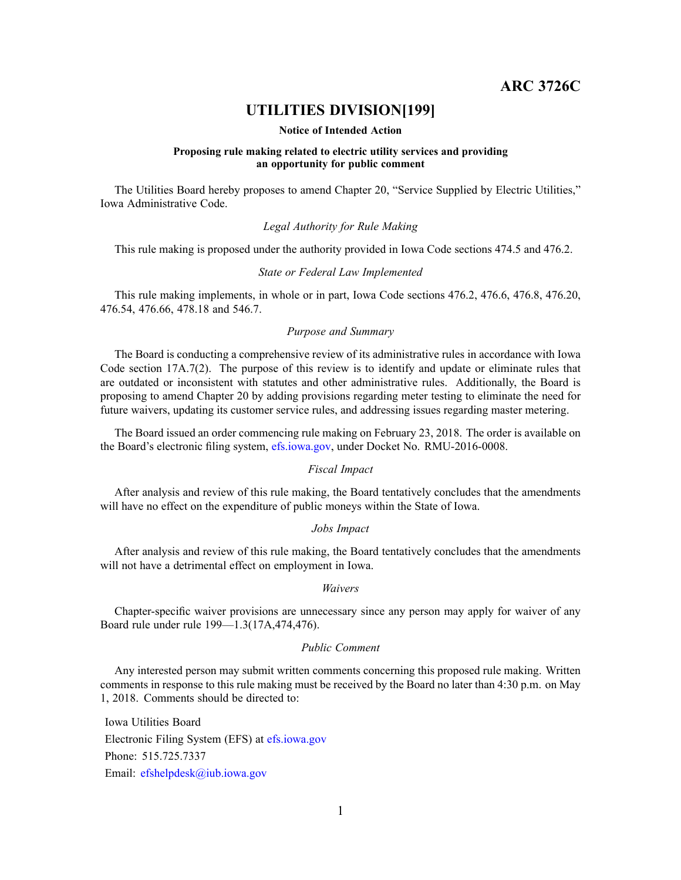**ARC 3726C**

# **UTILITIES DIVISION[199]**

## **Notice of Intended Action**

## **Proposing rule making related to electric utility services and providing an opportunity for public comment**

The Utilities Board hereby proposes to amend Chapter 20, "Service Supplied by Electric Utilities," Iowa Administrative Code.

# *Legal Authority for Rule Making*

This rule making is proposed under the authority provided in Iowa Code sections 474.5 and 476.2.

#### *State or Federal Law Implemented*

This rule making implements, in whole or in part, Iowa Code sections 476.2, 476.6, 476.8, 476.20, 476.54, 476.66, 478.18 and 546.7.

## *Purpose and Summary*

The Board is conducting <sup>a</sup> comprehensive review of its administrative rules in accordance with Iowa Code section 17A.7(2). The purpose of this review is to identify and update or eliminate rules that are outdated or inconsistent with statutes and other administrative rules. Additionally, the Board is proposing to amend Chapter 20 by adding provisions regarding meter testing to eliminate the need for future waivers, updating its customer service rules, and addressing issues regarding master metering.

The Board issued an order commencing rule making on February 23, 2018. The order is available on the Board's electronic filing system, [efs.iowa.gov](http://efs.iowa.gov/), under Docket No. RMU-2016-0008.

# *Fiscal Impact*

After analysis and review of this rule making, the Board tentatively concludes that the amendments will have no effect on the expenditure of public moneys within the State of Iowa.

## *Jobs Impact*

After analysis and review of this rule making, the Board tentatively concludes that the amendments will not have <sup>a</sup> detrimental effect on employment in Iowa.

#### *Waivers*

Chapter-specific waiver provisions are unnecessary since any person may apply for waiver of any Board rule under rule 199—1.3(17A,474,476).

#### *Public Comment*

Any interested person may submit written comments concerning this proposed rule making. Written comments in response to this rule making must be received by the Board no later than 4:30 p.m. on May 1, 2018. Comments should be directed to:

Iowa Utilities Board Electronic Filing System (EFS) at [efs.iowa.gov](http://efs.iowa.gov) Phone: 515.725.7337 Email: [efshelpdesk@iub.iowa.gov](mailto:efshelpdesk@iub.iowa.gov)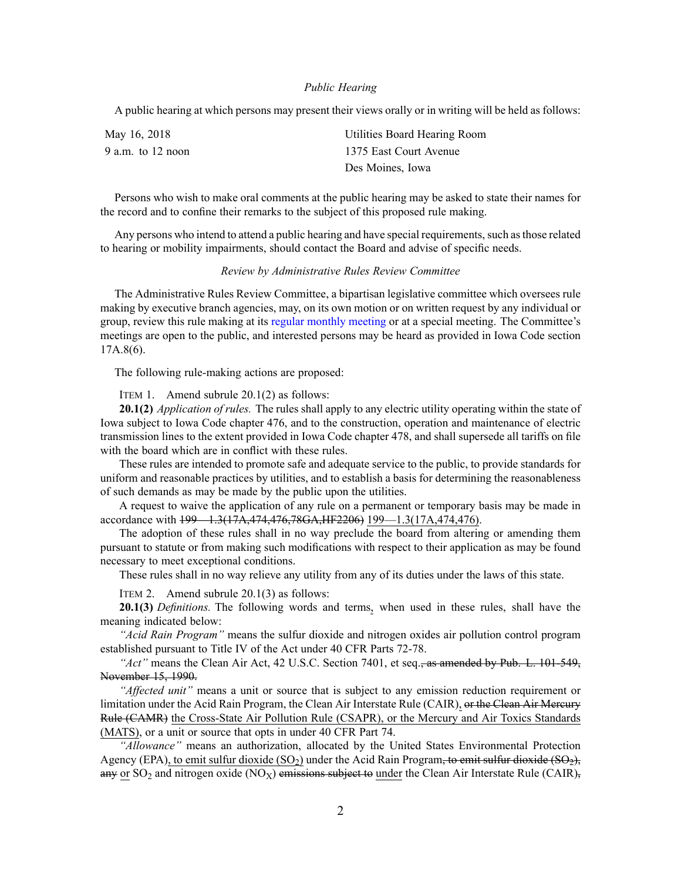#### *Public Hearing*

A public hearing at which persons may presen<sup>t</sup> their views orally or in writing will be held as follows:

| May 16, 2018      | Utilities Board Hearing Room |
|-------------------|------------------------------|
| 9 a.m. to 12 noon | 1375 East Court Avenue       |
|                   | Des Moines, Iowa             |

Persons who wish to make oral comments at the public hearing may be asked to state their names for the record and to confine their remarks to the subject of this proposed rule making.

Any persons who intend to attend a public hearing and have special requirements, such as those related to hearing or mobility impairments, should contact the Board and advise of specific needs.

#### *Review by Administrative Rules Review Committee*

The Administrative Rules Review Committee, <sup>a</sup> bipartisan legislative committee which oversees rule making by executive branch agencies, may, on its own motion or on written reques<sup>t</sup> by any individual or group, review this rule making at its regular [monthly](https://www.legis.iowa.gov/committees/meetings/meetingsListComm?groupID=705&ga=87) meeting or at <sup>a</sup> special meeting. The Committee's meetings are open to the public, and interested persons may be heard as provided in Iowa Code section 17A.8(6).

The following rule-making actions are proposed:

ITEM 1. Amend subrule 20.1(2) as follows:

**20.1(2)** *Application of rules.* The rules shall apply to any electric utility operating within the state of Iowa subject to Iowa Code chapter [476](https://www.legis.iowa.gov/docs/ico/chapter/476.pdf), and to the construction, operation and maintenance of electric transmission lines to the extent provided in Iowa Code chapter [478](https://www.legis.iowa.gov/docs/ico/chapter/478.pdf), and shall supersede all tariffs on file with the board which are in conflict with these rules.

These rules are intended to promote safe and adequate service to the public, to provide standards for uniform and reasonable practices by utilities, and to establish <sup>a</sup> basis for determining the reasonableness of such demands as may be made by the public upon the utilities.

A reques<sup>t</sup> to waive the application of any rule on <sup>a</sup> permanen<sup>t</sup> or temporary basis may be made in accordance with [199—1.3](https://www.legis.iowa.gov/docs/iac/rule/199.1.3.pdf)(17A,474,476,78GA,HF2206) [199—1.3\(17A,474,476\)](https://www.legis.iowa.gov/docs/iac/rule/199.1.3.pdf).

The adoption of these rules shall in no way preclude the board from altering or amending them pursuan<sup>t</sup> to statute or from making such modifications with respec<sup>t</sup> to their application as may be found necessary to meet exceptional conditions.

These rules shall in no way relieve any utility from any of its duties under the laws of this state.

ITEM 2. Amend subrule 20.1(3) as follows:

**20.1(3)** *Definitions.* The following words and terms, when used in these rules, shall have the meaning indicated below:

*"Acid Rain Program"* means the sulfur dioxide and nitrogen oxides air pollution control program established pursuan<sup>t</sup> to Title IV of the Act under 40 CFR Parts 72-78.

*"Act"* means the Clean Air Act, 42 U.S.C. Section 7401, et seq., as amended by Pub. L. 101-549, November 15, 1990.

*"Affected unit"* means <sup>a</sup> unit or source that is subject to any emission reduction requirement or limitation under the Acid Rain Program, the Clean Air Interstate Rule (CAIR), or the Clean Air Mercury Rule (CAMR) the Cross-State Air Pollution Rule (CSAPR), or the Mercury and Air Toxics Standards (MATS), or <sup>a</sup> unit or source that opts in under 40 CFR Part 74.

*"Allowance"* means an authorization, allocated by the United States Environmental Protection Agency (EPA), to emit sulfur dioxide (SO<sub>2</sub>) under the Acid Rain Program, to emit sulfur dioxide (SO<sub>2</sub>), any or SO<sub>2</sub> and nitrogen oxide (NO<sub>X</sub>) emissions subject to under the Clean Air Interstate Rule (CAIR)<sub>7</sub>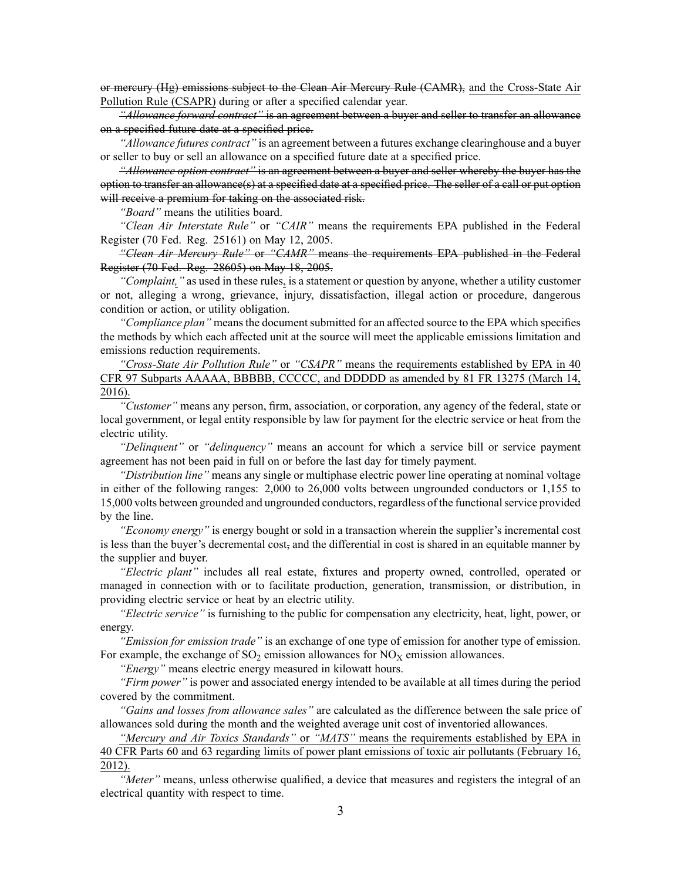or mercury (Hg) emissions subject to the Clean Air Mercury Rule (CAMR), and the Cross-State Air Pollution Rule (CSAPR) during or after <sup>a</sup> specified calendar year.

*"Allowance forward contract"* is an agreemen<sup>t</sup> between <sup>a</sup> buyer and seller to transfer an allowance on <sup>a</sup> specified future date at <sup>a</sup> specified price.

*"Allowance futures contract"* is an agreemen<sup>t</sup> between <sup>a</sup> futures exchange clearinghouse and <sup>a</sup> buyer or seller to buy or sell an allowance on <sup>a</sup> specified future date at <sup>a</sup> specified price.

*"Allowance option contract"* is an agreemen<sup>t</sup> between <sup>a</sup> buyer and seller whereby the buyer has the option to transfer an allowance(s) at <sup>a</sup> specified date at <sup>a</sup> specified price. The seller of <sup>a</sup> call or pu<sup>t</sup> option will receive a premium for taking on the associated risk.

*"Board"* means the utilities board.

*"Clean Air Interstate Rule"* or *"CAIR"* means the requirements EPA published in the Federal Register (70 Fed. Reg. 25161) on May 12, 2005.

*"Clean Air Mercury Rule"* or *"CAMR"* means the requirements EPA published in the Federal Register (70 Fed. Reg. 28605) on May 18, 2005.

*"Complaint,"* as used in these rules, is <sup>a</sup> statement or question by anyone, whether <sup>a</sup> utility customer or not, alleging <sup>a</sup> wrong, grievance, injury, dissatisfaction, illegal action or procedure, dangerous condition or action, or utility obligation.

"Compliance plan" means the document submitted for an affected source to the EPA which specifies the methods by which each affected unit at the source will meet the applicable emissions limitation and emissions reduction requirements.

*"Cross-State Air Pollution Rule"* or *"CSAPR"* means the requirements established by EPA in 40 CFR 97 Subparts AAAAA, BBBBB, CCCCC, and DDDDD as amended by 81 FR 13275 (March 14, 2016).

*"Customer"* means any person, firm, association, or corporation, any agency of the federal, state or local government, or legal entity responsible by law for paymen<sup>t</sup> for the electric service or heat from the electric utility.

*"Delinquent"* or *"delinquency"* means an account for which <sup>a</sup> service bill or service paymen<sup>t</sup> agreemen<sup>t</sup> has not been paid in full on or before the last day for timely payment.

*"Distribution line"* means any single or multiphase electric power line operating at nominal voltage in either of the following ranges: 2,000 to 26,000 volts between ungrounded conductors or 1,155 to 15,000 volts between grounded and ungrounded conductors, regardless of the functionalservice provided by the line.

*"Economy energy"* is energy bought or sold in <sup>a</sup> transaction wherein the supplier's incremental cost is less than the buyer's decremental cost, and the differential in cost is shared in an equitable manner by the supplier and buyer.

*"Electric plant"* includes all real estate, fixtures and property owned, controlled, operated or managed in connection with or to facilitate production, generation, transmission, or distribution, in providing electric service or heat by an electric utility.

*"Electric service"* is furnishing to the public for compensation any electricity, heat, light, power, or energy.

*"Emission for emission trade"* is an exchange of one type of emission for another type of emission. For example, the exchange of  $SO_2$  emission allowances for  $NO<sub>X</sub>$  emission allowances.

*"Energy"* means electric energy measured in kilowatt hours.

*"Firm power"* is power and associated energy intended to be available at all times during the period covered by the commitment.

*"Gains and losses from allowance sales"* are calculated as the difference between the sale price of allowances sold during the month and the weighted average unit cost of inventoried allowances.

*"Mercury and Air Toxics Standards"* or *"MATS"* means the requirements established by EPA in 40 CFR Parts 60 and 63 regarding limits of power plant emissions of toxic air pollutants (February 16, 2012).

*"Meter"* means, unless otherwise qualified, <sup>a</sup> device that measures and registers the integral of an electrical quantity with respec<sup>t</sup> to time.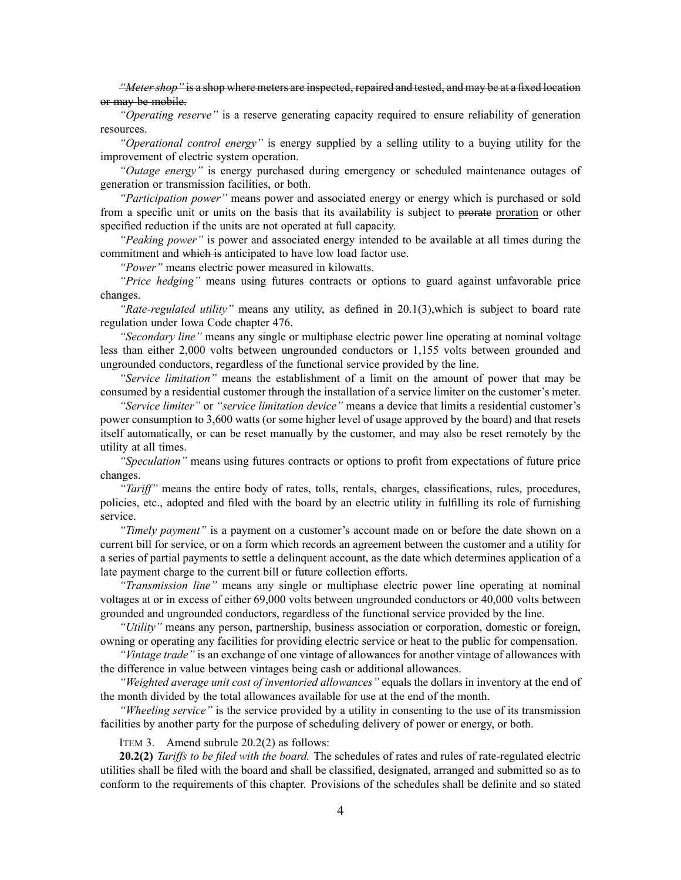*"Metershop"* is <sup>a</sup> shop where meters are inspected, repaired and tested, and may be at <sup>a</sup> fixed location or may be mobile.

*"Operating reserve"* is <sup>a</sup> reserve generating capacity required to ensure reliability of generation resources.

*"Operational control energy"* is energy supplied by <sup>a</sup> selling utility to <sup>a</sup> buying utility for the improvement of electric system operation.

*"Outage energy"* is energy purchased during emergency or scheduled maintenance outages of generation or transmission facilities, or both.

*"Participation power"* means power and associated energy or energy which is purchased or sold from <sup>a</sup> specific unit or units on the basis that its availability is subject to prorate proration or other specified reduction if the units are not operated at full capacity.

*"Peaking power"* is power and associated energy intended to be available at all times during the commitment and which is anticipated to have low load factor use.

*"Power"* means electric power measured in kilowatts.

*"Price hedging"* means using futures contracts or options to guard against unfavorable price changes.

*"Rate-regulated utility"* means any utility, as defined in [20.1\(3\)](https://www.legis.iowa.gov/docs/iac/rule/199.20.1.pdf),which is subject to board rate regulation under Iowa Code chapter [476](https://www.legis.iowa.gov/docs/ico/chapter/476.pdf).

*"Secondary line"* means any single or multiphase electric power line operating at nominal voltage less than either 2,000 volts between ungrounded conductors or 1,155 volts between grounded and ungrounded conductors, regardless of the functional service provided by the line.

*"Service limitation"* means the establishment of <sup>a</sup> limit on the amount of power that may be consumed by <sup>a</sup> residential customer through the installation of <sup>a</sup> service limiter on the customer's meter.

*"Service limiter"* or *"service limitation device"* means <sup>a</sup> device that limits <sup>a</sup> residential customer's power consumption to 3,600 watts (or some higher level of usage approved by the board) and that resets itself automatically, or can be reset manually by the customer, and may also be reset remotely by the utility at all times.

*"Speculation"* means using futures contracts or options to profit from expectations of future price changes.

*"Tariff"* means the entire body of rates, tolls, rentals, charges, classifications, rules, procedures, policies, etc., adopted and filed with the board by an electric utility in fulfilling its role of furnishing service.

*"Timely payment"* is <sup>a</sup> paymen<sup>t</sup> on <sup>a</sup> customer's account made on or before the date shown on <sup>a</sup> current bill for service, or on <sup>a</sup> form which records an agreemen<sup>t</sup> between the customer and <sup>a</sup> utility for <sup>a</sup> series of partial payments to settle <sup>a</sup> delinquent account, as the date which determines application of <sup>a</sup> late paymen<sup>t</sup> charge to the current bill or future collection efforts.

*"Transmission line"* means any single or multiphase electric power line operating at nominal voltages at or in excess of either 69,000 volts between ungrounded conductors or 40,000 volts between grounded and ungrounded conductors, regardless of the functional service provided by the line.

*"Utility"* means any person, partnership, business association or corporation, domestic or foreign, owning or operating any facilities for providing electric service or heat to the public for compensation.

*"Vintage trade"* is an exchange of one vintage of allowances for another vintage of allowances with the difference in value between vintages being cash or additional allowances.

*"Weighted average unit cost of inventoried allowances"* equals the dollars in inventory at the end of the month divided by the total allowances available for use at the end of the month.

*"Wheeling service"* is the service provided by <sup>a</sup> utility in consenting to the use of its transmission facilities by another party for the purpose of scheduling delivery of power or energy, or both.

ITEM 3. Amend subrule 20.2(2) as follows:

**20.2(2)** *Tariffs to be filed with the board.* The schedules of rates and rules of rate-regulated electric utilities shall be filed with the board and shall be classified, designated, arranged and submitted so as to conform to the requirements of this chapter. Provisions of the schedules shall be definite and so stated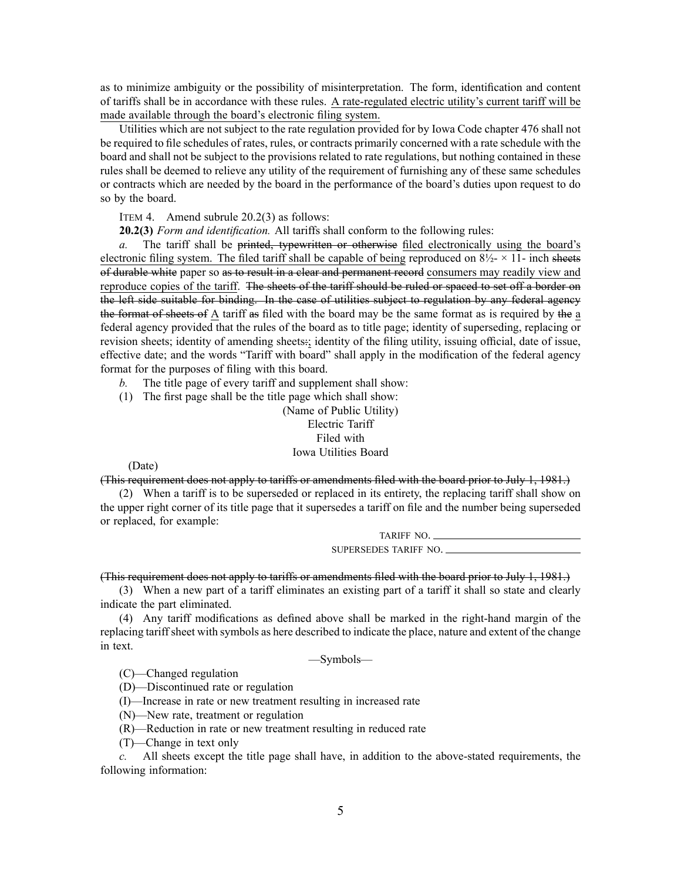as to minimize ambiguity or the possibility of misinterpretation. The form, identification and content of tariffs shall be in accordance with these rules. A rate-regulated electric utility's current tariff will be made available through the board's electronic filing system.

Utilities which are not subject to the rate regulation provided for by Iowa Code chapter [476](https://www.legis.iowa.gov/docs/ico/chapter/476.pdf) shall not be required to file schedules of rates, rules, or contracts primarily concerned with <sup>a</sup> rate schedule with the board and shall not be subject to the provisions related to rate regulations, but nothing contained in these rules shall be deemed to relieve any utility of the requirement of furnishing any of these same schedules or contracts which are needed by the board in the performance of the board's duties upon reques<sup>t</sup> to do so by the board.

ITEM 4. Amend subrule 20.2(3) as follows:

**20.2(3)** *Form and identification.* All tariffs shall conform to the following rules:

*a.* The tariff shall be printed, typewritten or otherwise filed electronically using the board's electronic filing system. The filed tariff shall be capable of being reproduced on  $8\frac{1}{2} \times 11$ - inch sheets of durable white paper so as to result in <sup>a</sup> clear and permanen<sup>t</sup> record consumers may readily view and reproduce copies of the tariff. The sheets of the tariff should be ruled or spaced to set off <sup>a</sup> border on the left side suitable for binding. In the case of utilities subject to regulation by any federal agency the format of sheets of A tariff as filed with the board may be the same format as is required by the <sup>a</sup> federal agency provided that the rules of the board as to title page; identity of superseding, replacing or revision sheets; identity of amending sheets:; identity of the filing utility, issuing official, date of issue, effective date; and the words "Tariff with board" shall apply in the modification of the federal agency format for the purposes of filing with this board.

- *b.* The title page of every tariff and supplement shall show:
- (1) The first page shall be the title page which shall show:

(Name of Public Utility) Electric Tariff Filed with Iowa Utilities Board

(Date)

(This requirement does not apply to tariffs or amendments filed with the board prior to July 1, 1981.)

(2) When <sup>a</sup> tariff is to be superseded or replaced in its entirety, the replacing tariff shall show on the upper right corner of its title page that it supersedes <sup>a</sup> tariff on file and the number being superseded or replaced, for example:

> TARIFF NO. SUPERSEDES TARIFF NO.

# (This requirement does not apply to tariffs or amendments filed with the board prior to July 1, 1981.)

(3) When <sup>a</sup> new par<sup>t</sup> of <sup>a</sup> tariff eliminates an existing par<sup>t</sup> of <sup>a</sup> tariff it shall so state and clearly indicate the par<sup>t</sup> eliminated.

(4) Any tariff modifications as defined above shall be marked in the right-hand margin of the replacing tariffsheet with symbols as here described to indicate the place, nature and extent of the change in text.

—Symbols—

(C)—Changed regulation

(D)—Discontinued rate or regulation

(I)—Increase in rate or new treatment resulting in increased rate

(N)—New rate, treatment or regulation

(R)—Reduction in rate or new treatment resulting in reduced rate

(T)—Change in text only

*c.* All sheets excep<sup>t</sup> the title page shall have, in addition to the above-stated requirements, the following information: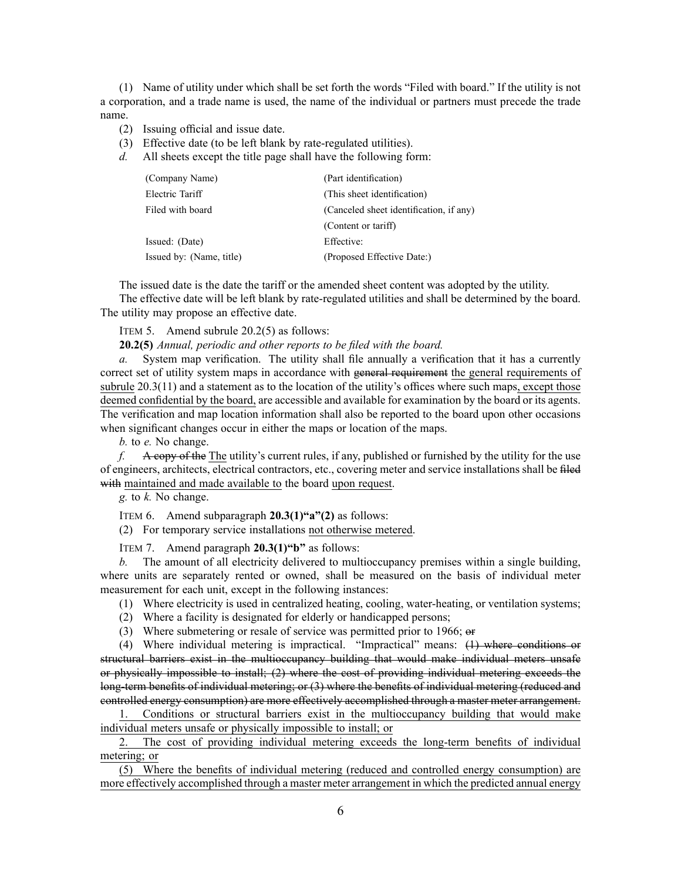(1) Name of utility under which shall be set forth the words "Filed with board." If the utility is not <sup>a</sup> corporation, and <sup>a</sup> trade name is used, the name of the individual or partners must precede the trade name.

- (2) Issuing official and issue date.
- (3) Effective date (to be left blank by rate-regulated utilities).
- *d.* All sheets excep<sup>t</sup> the title page shall have the following form:

| (Company Name)           | (Part identification)                   |
|--------------------------|-----------------------------------------|
| Electric Tariff          | (This sheet identification)             |
| Filed with board         | (Canceled sheet identification, if any) |
|                          | (Content or tariff)                     |
| Issued: (Date)           | Effective:                              |
| Issued by: (Name, title) | (Proposed Effective Date:)              |

The issued date is the date the tariff or the amended sheet content was adopted by the utility.

The effective date will be left blank by rate-regulated utilities and shall be determined by the board. The utility may propose an effective date.

ITEM 5. Amend subrule 20.2(5) as follows:

**20.2(5)** *Annual, periodic and other reports to be filed with the board.*

*a.* System map verification. The utility shall file annually <sup>a</sup> verification that it has <sup>a</sup> currently correct set of utility system maps in accordance with general requirement the general requirements of subrule [20.3\(11\)](https://www.legis.iowa.gov/docs/iac/rule/199.20.3.pdf) and a statement as to the location of the utility's offices where such maps, except those deemed confidential by the board, are accessible and available for examination by the board or its agents. The verification and map location information shall also be reported to the board upon other occasions when significant changes occur in either the maps or location of the maps.

*b.* to *e.* No change.

*f.* A copy of the The utility's current rules, if any, published or furnished by the utility for the use of engineers, architects, electrical contractors, etc., covering meter and service installations shall be filed with maintained and made available to the board upon request.

*g.* to *k.* No change.

ITEM 6. Amend subparagraph **20.3(1)"a"(2)** as follows:

(2) For temporary service installations not otherwise metered.

ITEM 7. Amend paragraph **20.3(1)"b"** as follows:

*b.* The amount of all electricity delivered to multioccupancy premises within <sup>a</sup> single building, where units are separately rented or owned, shall be measured on the basis of individual meter measurement for each unit, excep<sup>t</sup> in the following instances:

- (1) Where electricity is used in centralized heating, cooling, water-heating, or ventilation systems;
- (2) Where <sup>a</sup> facility is designated for elderly or handicapped persons;
- (3) Where submetering or resale of service was permitted prior to 1966; or

(4) Where individual metering is impractical. "Impractical" means: (1) where conditions or structural barriers exist in the multioccupancy building that would make individual meters unsafe or physically impossible to install; (2) where the cost of providing individual metering exceeds the long-term benefits of individual metering; or (3) where the benefits of individual metering (reduced and controlled energy consumption) are more effectively accomplished through <sup>a</sup> master meter arrangement.

1. Conditions or structural barriers exist in the multioccupancy building that would make individual meters unsafe or physically impossible to install; or

2. The cost of providing individual metering exceeds the long-term benefits of individual metering; or

(5) Where the benefits of individual metering (reduced and controlled energy consumption) are more effectively accomplished through <sup>a</sup> master meter arrangemen<sup>t</sup> in which the predicted annual energy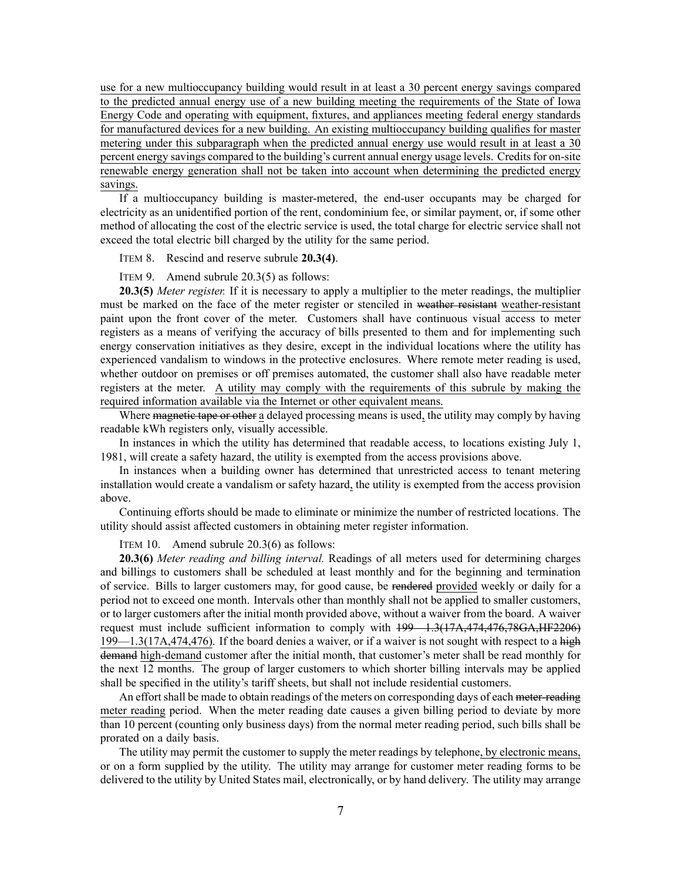use for <sup>a</sup> new multioccupancy building would result in at least <sup>a</sup> 30 percen<sup>t</sup> energy savings compared to the predicted annual energy use of <sup>a</sup> new building meeting the requirements of the State of Iowa Energy Code and operating with equipment, fixtures, and appliances meeting federal energy standards for manufactured devices for <sup>a</sup> new building. An existing multioccupancy building qualifies for master metering under this subparagraph when the predicted annual energy use would result in at least <sup>a</sup> 30 percen<sup>t</sup> energy savings compared to the building's current annual energy usage levels. Credits for on-site renewable energy generation shall not be taken into account when determining the predicted energy savings.

If <sup>a</sup> multioccupancy building is master-metered, the end-user occupants may be charged for electricity as an unidentified portion of the rent, condominium fee, or similar payment, or, if some other method of allocating the cost of the electric service is used, the total charge for electric service shall not exceed the total electric bill charged by the utility for the same period.

ITEM 8. Rescind and reserve subrule **20.3(4)**.

ITEM 9. Amend subrule 20.3(5) as follows:

**20.3(5)** *Meter register.* If it is necessary to apply <sup>a</sup> multiplier to the meter readings, the multiplier must be marked on the face of the meter register or stenciled in weather resistant weather-resistant paint upon the front cover of the meter. Customers shall have continuous visual access to meter registers as <sup>a</sup> means of verifying the accuracy of bills presented to them and for implementing such energy conservation initiatives as they desire, excep<sup>t</sup> in the individual locations where the utility has experienced vandalism to windows in the protective enclosures. Where remote meter reading is used, whether outdoor on premises or off premises automated, the customer shall also have readable meter registers at the meter. A utility may comply with the requirements of this subrule by making the required information available via the Internet or other equivalent means.

Where magnetic tape or other a delayed processing means is used, the utility may comply by having readable kWh registers only, visually accessible.

In instances in which the utility has determined that readable access, to locations existing July 1, 1981, will create <sup>a</sup> safety hazard, the utility is exempted from the access provisions above.

In instances when <sup>a</sup> building owner has determined that unrestricted access to tenant metering installation would create <sup>a</sup> vandalism or safety hazard, the utility is exempted from the access provision above.

Continuing efforts should be made to eliminate or minimize the number of restricted locations. The utility should assist affected customers in obtaining meter register information.

ITEM 10. Amend subrule 20.3(6) as follows:

**20.3(6)** *Meter reading and billing interval.* Readings of all meters used for determining charges and billings to customers shall be scheduled at least monthly and for the beginning and termination of service. Bills to larger customers may, for good cause, be rendered provided weekly or daily for <sup>a</sup> period not to exceed one month. Intervals other than monthly shall not be applied to smaller customers, or to larger customers after the initial month provided above, without <sup>a</sup> waiver from the board. A waiver reques<sup>t</sup> must include sufficient information to comply with [199—1.3](https://www.legis.iowa.gov/docs/iac/rule/199.1.3.pdf)(17A,474,476,78GA,HF2206) [199—1.3\(17A,474,476\)](https://www.legis.iowa.gov/docs/iac/rule/199.1.3.pdf). If the board denies <sup>a</sup> waiver, or if <sup>a</sup> waiver is not sought with respec<sup>t</sup> to <sup>a</sup> high demand high-demand customer after the initial month, that customer's meter shall be read monthly for the next 12 months. The group of larger customers to which shorter billing intervals may be applied shall be specified in the utility's tariff sheets, but shall not include residential customers.

An effort shall be made to obtain readings of the meters on corresponding days of each meter-reading meter reading period. When the meter reading date causes <sup>a</sup> given billing period to deviate by more than 10 percen<sup>t</sup> (counting only business days) from the normal meter reading period, such bills shall be prorated on <sup>a</sup> daily basis.

The utility may permit the customer to supply the meter readings by telephone, by electronic means, or on <sup>a</sup> form supplied by the utility. The utility may arrange for customer meter reading forms to be delivered to the utility by United States mail, electronically, or by hand delivery. The utility may arrange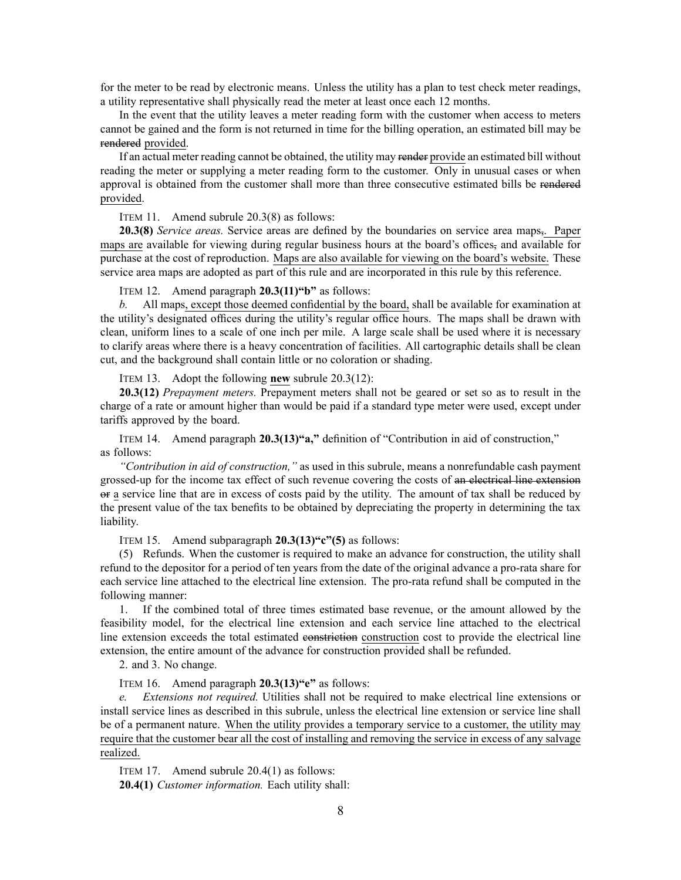for the meter to be read by electronic means. Unless the utility has <sup>a</sup> plan to test check meter readings, <sup>a</sup> utility representative shall physically read the meter at least once each 12 months.

In the event that the utility leaves <sup>a</sup> meter reading form with the customer when access to meters cannot be gained and the form is not returned in time for the billing operation, an estimated bill may be rendered provided.

If an actual meter reading cannot be obtained, the utility may render provide an estimated bill without reading the meter or supplying <sup>a</sup> meter reading form to the customer. Only in unusual cases or when approval is obtained from the customer shall more than three consecutive estimated bills be rendered provided.

ITEM 11. Amend subrule 20.3(8) as follows:

**20.3(8)** *Service areas.* Service areas are defined by the boundaries on service area maps,. Paper maps are available for viewing during regular business hours at the board's offices, and available for purchase at the cost of reproduction. Maps are also available for viewing on the board's website. These service area maps are adopted as par<sup>t</sup> of this rule and are incorporated in this rule by this reference.

ITEM 12. Amend paragraph **20.3(11)"b"** as follows:

*b.* All maps, excep<sup>t</sup> those deemed confidential by the board, shall be available for examination at the utility's designated offices during the utility's regular office hours. The maps shall be drawn with clean, uniform lines to <sup>a</sup> scale of one inch per mile. A large scale shall be used where it is necessary to clarify areas where there is <sup>a</sup> heavy concentration of facilities. All cartographic details shall be clean cut, and the background shall contain little or no coloration or shading.

ITEM 13. Adopt the following **new** subrule 20.3(12):

**20.3(12)** *Prepayment meters.* Prepayment meters shall not be geared or set so as to result in the charge of <sup>a</sup> rate or amount higher than would be paid if <sup>a</sup> standard type meter were used, excep<sup>t</sup> under tariffs approved by the board.

ITEM 14. Amend paragraph **20.3(13)"a,"** definition of "Contribution in aid of construction," as follows:

*"Contribution in aid of construction,"* as used in this subrule, means <sup>a</sup> nonrefundable cash paymen<sup>t</sup> grossed-up for the income tax effect of such revenue covering the costs of an electrical line extension or <sup>a</sup> service line that are in excess of costs paid by the utility. The amount of tax shall be reduced by the presen<sup>t</sup> value of the tax benefits to be obtained by depreciating the property in determining the tax liability.

ITEM 15. Amend subparagraph **20.3(13)"c"(5)** as follows:

(5) Refunds. When the customer is required to make an advance for construction, the utility shall refund to the depositor for <sup>a</sup> period of ten years from the date of the original advance <sup>a</sup> pro-rata share for each service line attached to the electrical line extension. The pro-rata refund shall be computed in the following manner:

1. If the combined total of three times estimated base revenue, or the amount allowed by the feasibility model, for the electrical line extension and each service line attached to the electrical line extension exceeds the total estimated constriction construction cost to provide the electrical line extension, the entire amount of the advance for construction provided shall be refunded.

2. and 3. No change.

ITEM 16. Amend paragraph **20.3(13)"e"** as follows:

*e. Extensions not required.* Utilities shall not be required to make electrical line extensions or install service lines as described in this subrule, unless the electrical line extension or service line shall be of <sup>a</sup> permanen<sup>t</sup> nature. When the utility provides <sup>a</sup> temporary service to <sup>a</sup> customer, the utility may require that the customer bear all the cost of installing and removing the service in excess of any salvage realized.

ITEM 17. Amend subrule 20.4(1) as follows:

**20.4(1)** *Customer information.* Each utility shall: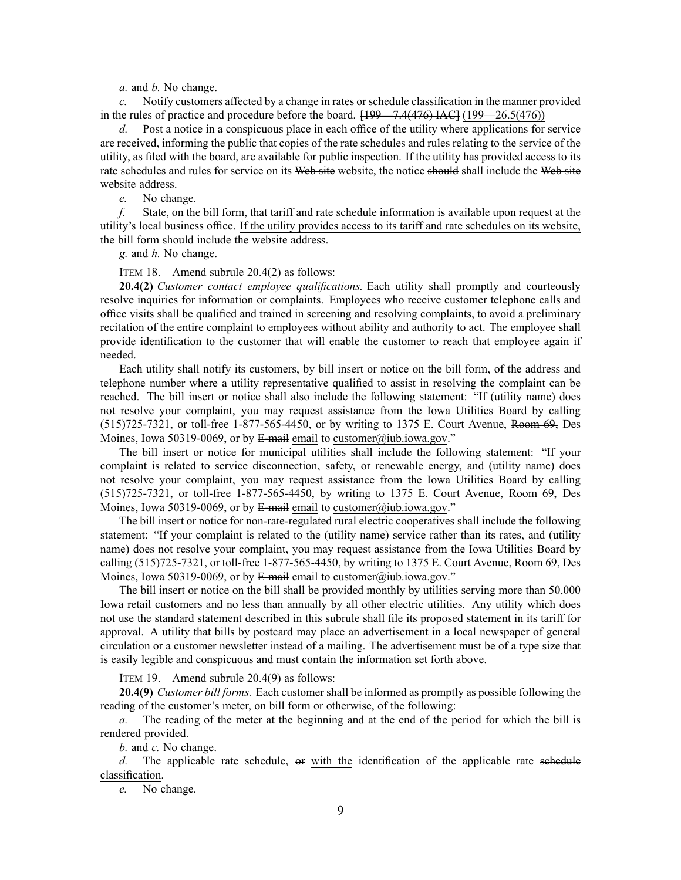*a.* and *b.* No change.

*c.* Notify customers affected by <sup>a</sup> change in rates orschedule classification in the manner provided in the rules of practice and procedure before the board.  $[199 - 7.4(476) \text{ IAC}](199 - 26.5(476))$ 

*d.* Post <sup>a</sup> notice in <sup>a</sup> conspicuous place in each office of the utility where applications for service are received, informing the public that copies of the rate schedules and rules relating to the service of the utility, as filed with the board, are available for public inspection. If the utility has provided access to its rate schedules and rules for service on its Web site website, the notice should shall include the Web site website address.

*e.* No change.

*f.* State, on the bill form, that tariff and rate schedule information is available upon reques<sup>t</sup> at the utility's local business office. If the utility provides access to its tariff and rate schedules on its website, the bill form should include the website address.

*g.* and *h.* No change.

ITEM 18. Amend subrule 20.4(2) as follows:

**20.4(2)** *Customer contact employee qualifications.* Each utility shall promptly and courteously resolve inquiries for information or complaints. Employees who receive customer telephone calls and office visits shall be qualified and trained in screening and resolving complaints, to avoid <sup>a</sup> preliminary recitation of the entire complaint to employees without ability and authority to act. The employee shall provide identification to the customer that will enable the customer to reach that employee again if needed.

Each utility shall notify its customers, by bill insert or notice on the bill form, of the address and telephone number where <sup>a</sup> utility representative qualified to assist in resolving the complaint can be reached. The bill insert or notice shall also include the following statement: "If (utility name) does not resolve your complaint, you may reques<sup>t</sup> assistance from the Iowa Utilities Board by calling (515)725-7321, or toll-free 1-877-565-4450, or by writing to 1375 E. Court Avenue, Room 69, Des Moines, Iowa 50319-0069, or by E-mail email to customer@iub.iowa.gov."

The bill insert or notice for municipal utilities shall include the following statement: "If your complaint is related to service disconnection, safety, or renewable energy, and (utility name) does not resolve your complaint, you may reques<sup>t</sup> assistance from the Iowa Utilities Board by calling (515)725-7321, or toll-free 1-877-565-4450, by writing to 1375 E. Court Avenue, Room 69, Des Moines, Iowa 50319-0069, or by E-mail email to customer@iub.iowa.gov."

The bill insert or notice for non-rate-regulated rural electric cooperatives shall include the following statement: "If your complaint is related to the (utility name) service rather than its rates, and (utility name) does not resolve your complaint, you may reques<sup>t</sup> assistance from the Iowa Utilities Board by calling  $(515)725-7321$ , or toll-free 1-877-565-4450, by writing to 1375 E. Court Avenue, Room 69, Des Moines, Iowa 50319-0069, or by E-mail email to customer@iub.iowa.gov."

The bill insert or notice on the bill shall be provided monthly by utilities serving more than 50,000 Iowa retail customers and no less than annually by all other electric utilities. Any utility which does not use the standard statement described in this subrule shall file its proposed statement in its tariff for approval. A utility that bills by postcard may place an advertisement in <sup>a</sup> local newspaper of general circulation or <sup>a</sup> customer newsletter instead of <sup>a</sup> mailing. The advertisement must be of <sup>a</sup> type size that is easily legible and conspicuous and must contain the information set forth above.

ITEM 19. Amend subrule 20.4(9) as follows:

**20.4(9)** *Customer bill forms.* Each customer shall be informed as promptly as possible following the reading of the customer's meter, on bill form or otherwise, of the following:

*a.* The reading of the meter at the beginning and at the end of the period for which the bill is rendered provided.

*b.* and *c.* No change.

*d.* The applicable rate schedule, or with the identification of the applicable rate schedule classification.

*e.* No change.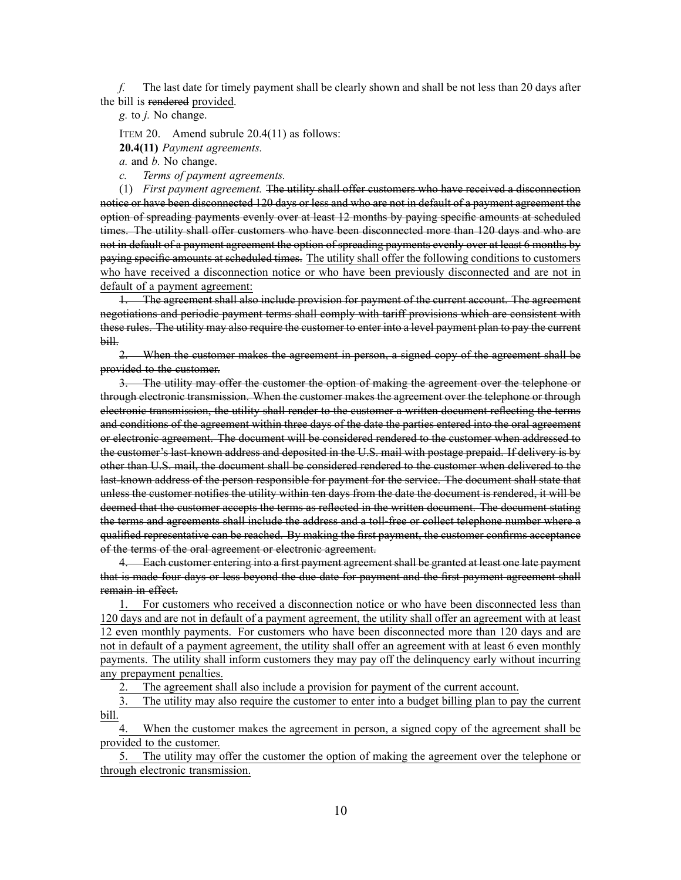*f.* The last date for timely paymen<sup>t</sup> shall be clearly shown and shall be not less than 20 days after the bill is rendered provided.

*g.* to *j.* No change.

ITEM 20. Amend subrule 20.4(11) as follows:

**20.4(11)** *Payment agreements.*

*a.* and *b.* No change.

*c. Terms of paymen<sup>t</sup> agreements.*

(1) *First paymen<sup>t</sup> agreement.* The utility shall offer customers who have received <sup>a</sup> disconnection notice or have been disconnected 120 days or less and who are not in default of <sup>a</sup> paymen<sup>t</sup> agreemen<sup>t</sup> the option of spreading payments evenly over at least 12 months by paying specific amounts at scheduled times. The utility shall offer customers who have been disconnected more than 120 days and who are not in default of <sup>a</sup> paymen<sup>t</sup> agreemen<sup>t</sup> the option of spreading payments evenly over at least 6 months by paying specific amounts at scheduled times. The utility shall offer the following conditions to customers who have received <sup>a</sup> disconnection notice or who have been previously disconnected and are not in default of <sup>a</sup> paymen<sup>t</sup> agreement:

1. The agreemen<sup>t</sup> shall also include provision for paymen<sup>t</sup> of the current account. The agreemen<sup>t</sup> negotiations and periodic paymen<sup>t</sup> terms shall comply with tariff provisions which are consistent with these rules. The utility may also require the customer to enter into <sup>a</sup> level paymen<sup>t</sup> plan to pay the current bill.

2. When the customer makes the agreemen<sup>t</sup> in person, <sup>a</sup> signed copy of the agreemen<sup>t</sup> shall be provided to the customer.

3. The utility may offer the customer the option of making the agreemen<sup>t</sup> over the telephone or through electronic transmission. When the customer makes the agreemen<sup>t</sup> over the telephone or through electronic transmission, the utility shall render to the customer <sup>a</sup> written document reflecting the terms and conditions of the agreemen<sup>t</sup> within three days of the date the parties entered into the oral agreemen<sup>t</sup> or electronic agreement. The document will be considered rendered to the customer when addressed to the customer's last-known address and deposited in the U.S. mail with postage prepaid. If delivery is by other than U.S. mail, the document shall be considered rendered to the customer when delivered to the last-known address of the person responsible for paymen<sup>t</sup> for the service. The document shall state that unless the customer notifies the utility within ten days from the date the document is rendered, it will be deemed that the customer accepts the terms as reflected in the written document. The document stating the terms and agreements shall include the address and <sup>a</sup> toll-free or collect telephone number where <sup>a</sup> qualified representative can be reached. By making the first payment, the customer confirms acceptance of the terms of the oral agreemen<sup>t</sup> or electronic agreement.

4. Each customer entering into <sup>a</sup> first paymen<sup>t</sup> agreementshall be granted at least one late paymen<sup>t</sup> that is made four days or less beyond the due date for paymen<sup>t</sup> and the first paymen<sup>t</sup> agreemen<sup>t</sup> shall remain in effect.

1. For customers who received <sup>a</sup> disconnection notice or who have been disconnected less than 120 days and are not in default of <sup>a</sup> paymen<sup>t</sup> agreement, the utility shall offer an agreemen<sup>t</sup> with at least 12 even monthly payments. For customers who have been disconnected more than 120 days and are not in default of <sup>a</sup> paymen<sup>t</sup> agreement, the utility shall offer an agreemen<sup>t</sup> with at least 6 even monthly payments. The utility shall inform customers they may pay off the delinquency early without incurring any prepaymen<sup>t</sup> penalties.

The agreement shall also include a provision for payment of the current account.

3. The utility may also require the customer to enter into <sup>a</sup> budget billing plan to pay the current bill.

When the customer makes the agreement in person, a signed copy of the agreement shall be provided to the customer.

The utility may offer the customer the option of making the agreement over the telephone or through electronic transmission.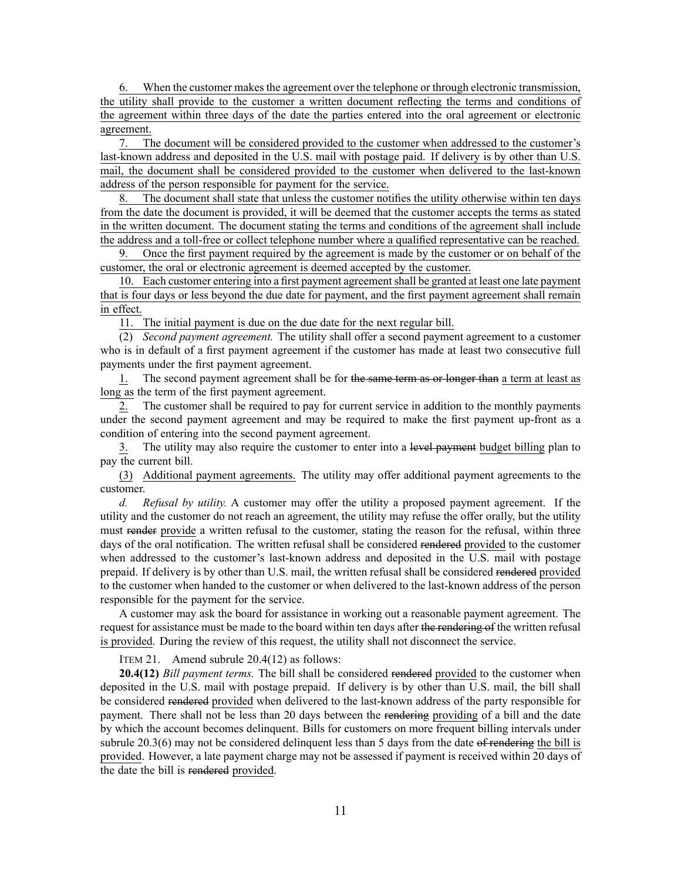6. When the customer makes the agreemen<sup>t</sup> over the telephone or through electronic transmission, the utility shall provide to the customer <sup>a</sup> written document reflecting the terms and conditions of the agreemen<sup>t</sup> within three days of the date the parties entered into the oral agreemen<sup>t</sup> or electronic agreement.

7. The document will be considered provided to the customer when addressed to the customer's last-known address and deposited in the U.S. mail with postage paid. If delivery is by other than U.S. mail, the document shall be considered provided to the customer when delivered to the last-known address of the person responsible for paymen<sup>t</sup> for the service.

8. The document shall state that unless the customer notifies the utility otherwise within ten days from the date the document is provided, it will be deemed that the customer accepts the terms as stated in the written document. The document stating the terms and conditions of the agreemen<sup>t</sup> shall include the address and <sup>a</sup> toll-free or collect telephone number where <sup>a</sup> qualified representative can be reached.

9. Once the first paymen<sup>t</sup> required by the agreemen<sup>t</sup> is made by the customer or on behalf of the customer, the oral or electronic agreemen<sup>t</sup> is deemed accepted by the customer.

10. Each customer entering into a first payment agreement shall be granted at least one late payment that is four days or less beyond the due date for payment, and the first paymen<sup>t</sup> agreemen<sup>t</sup> shall remain in effect.

11. The initial paymen<sup>t</sup> is due on the due date for the next regular bill.

(2) *Second paymen<sup>t</sup> agreement.* The utility shall offer <sup>a</sup> second paymen<sup>t</sup> agreemen<sup>t</sup> to <sup>a</sup> customer who is in default of <sup>a</sup> first paymen<sup>t</sup> agreemen<sup>t</sup> if the customer has made at least two consecutive full payments under the first paymen<sup>t</sup> agreement.

1. The second payment agreement shall be for the same term as or longer than a term at least as long as the term of the first paymen<sup>t</sup> agreement.

2. The customer shall be required to pay for current service in addition to the monthly payments under the second paymen<sup>t</sup> agreemen<sup>t</sup> and may be required to make the first paymen<sup>t</sup> up-front as <sup>a</sup> condition of entering into the second paymen<sup>t</sup> agreement.

3. The utility may also require the customer to enter into a level payment budget billing plan to pay the current bill.

(3) Additional paymen<sup>t</sup> agreements. The utility may offer additional paymen<sup>t</sup> agreements to the customer.

*d. Refusal by utility.* A customer may offer the utility <sup>a</sup> proposed paymen<sup>t</sup> agreement. If the utility and the customer do not reach an agreement, the utility may refuse the offer orally, but the utility must render provide <sup>a</sup> written refusal to the customer, stating the reason for the refusal, within three days of the oral notification. The written refusal shall be considered rendered provided to the customer when addressed to the customer's last-known address and deposited in the U.S. mail with postage prepaid. If delivery is by other than U.S. mail, the written refusal shall be considered rendered provided to the customer when handed to the customer or when delivered to the last-known address of the person responsible for the paymen<sup>t</sup> for the service.

A customer may ask the board for assistance in working out <sup>a</sup> reasonable paymen<sup>t</sup> agreement. The request for assistance must be made to the board within ten days after the rendering of the written refusal is provided. During the review of this request, the utility shall not disconnect the service.

ITEM 21. Amend subrule 20.4(12) as follows:

**20.4(12)** *Bill payment terms*. The bill shall be considered rendered provided to the customer when deposited in the U.S. mail with postage prepaid. If delivery is by other than U.S. mail, the bill shall be considered rendered provided when delivered to the last-known address of the party responsible for payment. There shall not be less than 20 days between the rendering providing of <sup>a</sup> bill and the date by which the account becomes delinquent. Bills for customers on more frequent billing intervals under subrule [20.3\(6\)](https://www.legis.iowa.gov/docs/iac/rule/199.20.3.pdf) may not be considered delinquent less than 5 days from the date of rendering the bill is provided. However, <sup>a</sup> late paymen<sup>t</sup> charge may not be assessed if paymen<sup>t</sup> is received within 20 days of the date the bill is rendered provided.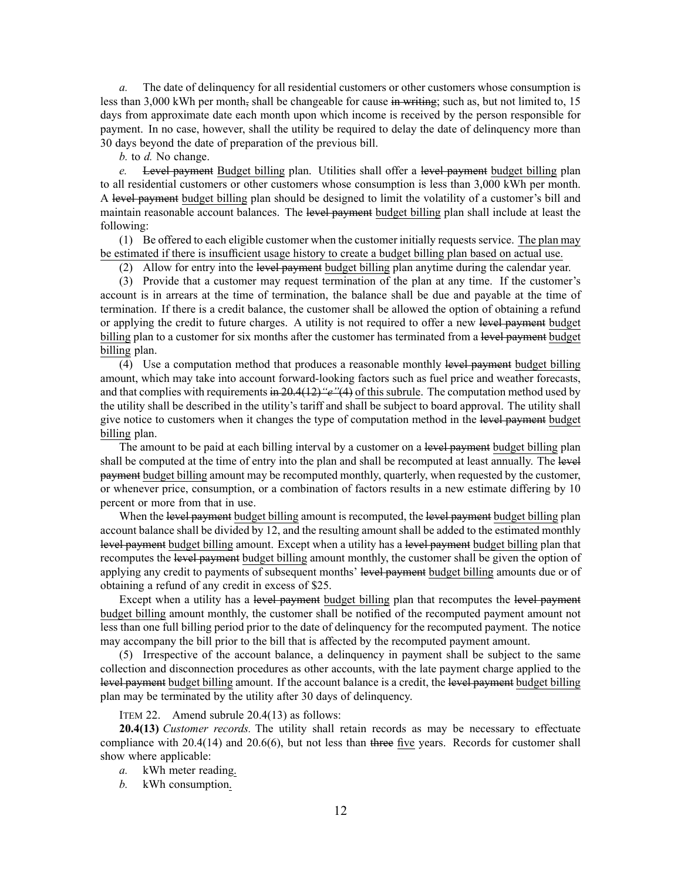*a.* The date of delinquency for all residential customers or other customers whose consumption is less than 3,000 kWh per month, shall be changeable for cause in writing; such as, but not limited to, 15 days from approximate date each month upon which income is received by the person responsible for payment. In no case, however, shall the utility be required to delay the date of delinquency more than 30 days beyond the date of preparation of the previous bill.

*b.* to *d.* No change.

*e.* Level paymen<sup>t</sup> Budget billing plan. Utilities shall offer <sup>a</sup> level paymen<sup>t</sup> budget billing plan to all residential customers or other customers whose consumption is less than 3,000 kWh per month. A level paymen<sup>t</sup> budget billing plan should be designed to limit the volatility of <sup>a</sup> customer's bill and maintain reasonable account balances. The level payment budget billing plan shall include at least the following:

(1) Be offered to each eligible customer when the customer initially requests service. The plan may be estimated if there is insufficient usage history to create <sup>a</sup> budget billing plan based on actual use.

(2) Allow for entry into the level paymen<sup>t</sup> budget billing plan anytime during the calendar year.

(3) Provide that <sup>a</sup> customer may reques<sup>t</sup> termination of the plan at any time. If the customer's account is in arrears at the time of termination, the balance shall be due and payable at the time of termination. If there is <sup>a</sup> credit balance, the customer shall be allowed the option of obtaining <sup>a</sup> refund or applying the credit to future charges. A utility is not required to offer <sup>a</sup> new level paymen<sup>t</sup> budget billing plan to a customer for six months after the customer has terminated from a level payment budget billing plan.

(4) Use <sup>a</sup> computation method that produces <sup>a</sup> reasonable monthly level paymen<sup>t</sup> budget billing amount, which may take into account forward-looking factors such as fuel price and weather forecasts, and that complies with requirements in [20.4\(12\)](https://www.legis.iowa.gov/docs/iac/rule/199.20.4.pdf)*"e"*(4) of this subrule. The computation method used by the utility shall be described in the utility's tariff and shall be subject to board approval. The utility shall give notice to customers when it changes the type of computation method in the level payment budget billing plan.

The amount to be paid at each billing interval by a customer on a level payment budget billing plan shall be computed at the time of entry into the plan and shall be recomputed at least annually. The level paymen<sup>t</sup> budget billing amount may be recomputed monthly, quarterly, when requested by the customer, or whenever price, consumption, or <sup>a</sup> combination of factors results in <sup>a</sup> new estimate differing by 10 percen<sup>t</sup> or more from that in use.

When the level payment budget billing amount is recomputed, the level payment budget billing plan account balance shall be divided by 12, and the resulting amount shall be added to the estimated monthly level paymen<sup>t</sup> budget billing amount. Except when <sup>a</sup> utility has <sup>a</sup> level paymen<sup>t</sup> budget billing plan that recomputes the level paymen<sup>t</sup> budget billing amount monthly, the customer shall be given the option of applying any credit to payments of subsequent months' level payment budget billing amounts due or of obtaining <sup>a</sup> refund of any credit in excess of \$25.

Except when a utility has a level payment budget billing plan that recomputes the level payment budget billing amount monthly, the customer shall be notified of the recomputed paymen<sup>t</sup> amount not less than one full billing period prior to the date of delinquency for the recomputed payment. The notice may accompany the bill prior to the bill that is affected by the recomputed paymen<sup>t</sup> amount.

(5) Irrespective of the account balance, <sup>a</sup> delinquency in paymen<sup>t</sup> shall be subject to the same collection and disconnection procedures as other accounts, with the late paymen<sup>t</sup> charge applied to the level paymen<sup>t</sup> budget billing amount. If the account balance is <sup>a</sup> credit, the level paymen<sup>t</sup> budget billing plan may be terminated by the utility after 30 days of delinquency.

ITEM 22. Amend subrule 20.4(13) as follows:

**20.4(13)** *Customer records.* The utility shall retain records as may be necessary to effectuate compliance with [20.4\(14\)](https://www.legis.iowa.gov/docs/iac/rule/199.20.4.pdf) and [20.6\(6\)](https://www.legis.iowa.gov/docs/iac/rule/199.20.6.pdf), but not less than three five years. Records for customer shall show where applicable:

- *a.* kWh meter reading.
- *b.* kWh consumption.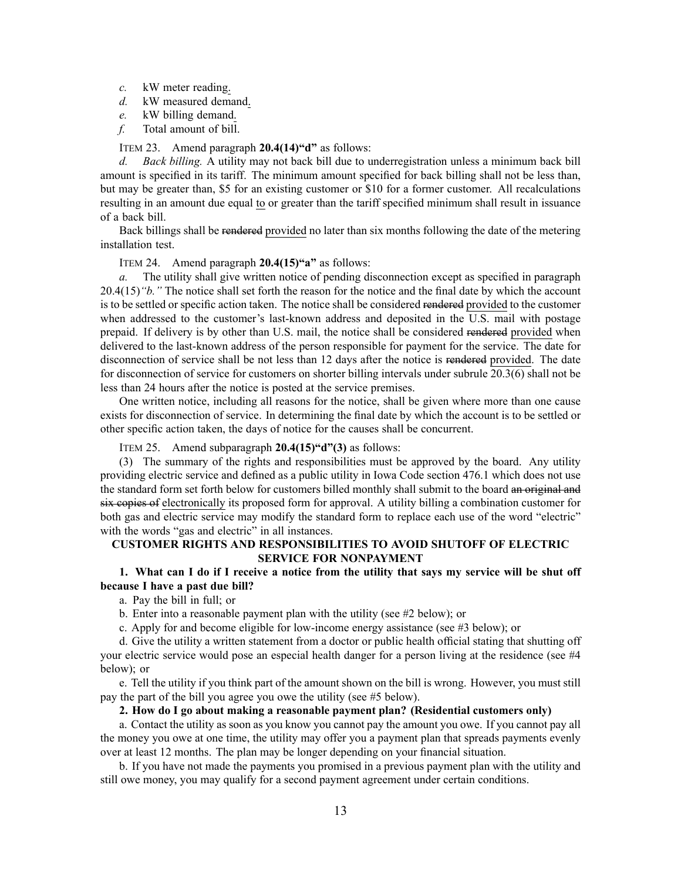- *c.* kW meter reading.
- *d.* kW measured demand.
- *e.* kW billing demand.
- *f.* Total amount of bill.

## ITEM 23. Amend paragraph **20.4(14)"d"** as follows:

*d. Back billing.* A utility may not back bill due to underregistration unless <sup>a</sup> minimum back bill amount is specified in its tariff. The minimum amount specified for back billing shall not be less than, but may be greater than, \$5 for an existing customer or \$10 for <sup>a</sup> former customer. All recalculations resulting in an amount due equal to or greater than the tariff specified minimum shall result in issuance of <sup>a</sup> back bill.

Back billings shall be rendered provided no later than six months following the date of the metering installation test.

ITEM 24. Amend paragraph **20.4(15)"a"** as follows:

*a.* The utility shall give written notice of pending disconnection excep<sup>t</sup> as specified in paragraph [20.4\(15\)](https://www.legis.iowa.gov/docs/iac/rule/199.20.4.pdf)*"b."* The notice shall set forth the reason for the notice and the final date by which the account is to be settled or specific action taken. The notice shall be considered rendered provided to the customer when addressed to the customer's last-known address and deposited in the U.S. mail with postage prepaid. If delivery is by other than U.S. mail, the notice shall be considered rendered provided when delivered to the last-known address of the person responsible for paymen<sup>t</sup> for the service. The date for disconnection of service shall be not less than 12 days after the notice is rendered provided. The date for disconnection of service for customers on shorter billing intervals under subrule [20.3\(6\)](https://www.legis.iowa.gov/docs/iac/rule/199.20.3.pdf) shall not be less than 24 hours after the notice is posted at the service premises.

One written notice, including all reasons for the notice, shall be given where more than one cause exists for disconnection of service. In determining the final date by which the account is to be settled or other specific action taken, the days of notice for the causes shall be concurrent.

ITEM 25. Amend subparagraph **20.4(15)"d"(3)** as follows:

(3) The summary of the rights and responsibilities must be approved by the board. Any utility providing electric service and defined as <sup>a</sup> public utility in Iowa Code section [476.1](https://www.legis.iowa.gov/docs/ico/section/476.1.pdf) which does not use the standard form set forth below for customers billed monthly shall submit to the board an original and six copies of electronically its proposed form for approval. A utility billing <sup>a</sup> combination customer for both gas and electric service may modify the standard form to replace each use of the word "electric" with the words "gas and electric" in all instances.

# **CUSTOMER RIGHTS AND RESPONSIBILITIES TO AVOID SHUTOFF OF ELECTRIC SERVICE FOR NONPAYMENT**

# 1. What can I do if I receive a notice from the utility that says my service will be shut off **because I have <sup>a</sup> past due bill?**

a. Pay the bill in full; or

b. Enter into <sup>a</sup> reasonable paymen<sup>t</sup> plan with the utility (see #2 below); or

c. Apply for and become eligible for low-income energy assistance (see #3 below); or

d. Give the utility <sup>a</sup> written statement from <sup>a</sup> doctor or public health official stating that shutting off your electric service would pose an especial health danger for <sup>a</sup> person living at the residence (see #4 below); or

e. Tell the utility if you think par<sup>t</sup> of the amount shown on the bill is wrong. However, you must still pay the par<sup>t</sup> of the bill you agree you owe the utility (see #5 below).

## **2. How do I go about making <sup>a</sup> reasonable payment plan? (Residential customers only)**

a. Contact the utility as soon as you know you cannot pay the amount you owe. If you cannot pay all the money you owe at one time, the utility may offer you <sup>a</sup> paymen<sup>t</sup> plan that spreads payments evenly over at least 12 months. The plan may be longer depending on your financial situation.

b. If you have not made the payments you promised in <sup>a</sup> previous paymen<sup>t</sup> plan with the utility and still owe money, you may qualify for <sup>a</sup> second paymen<sup>t</sup> agreemen<sup>t</sup> under certain conditions.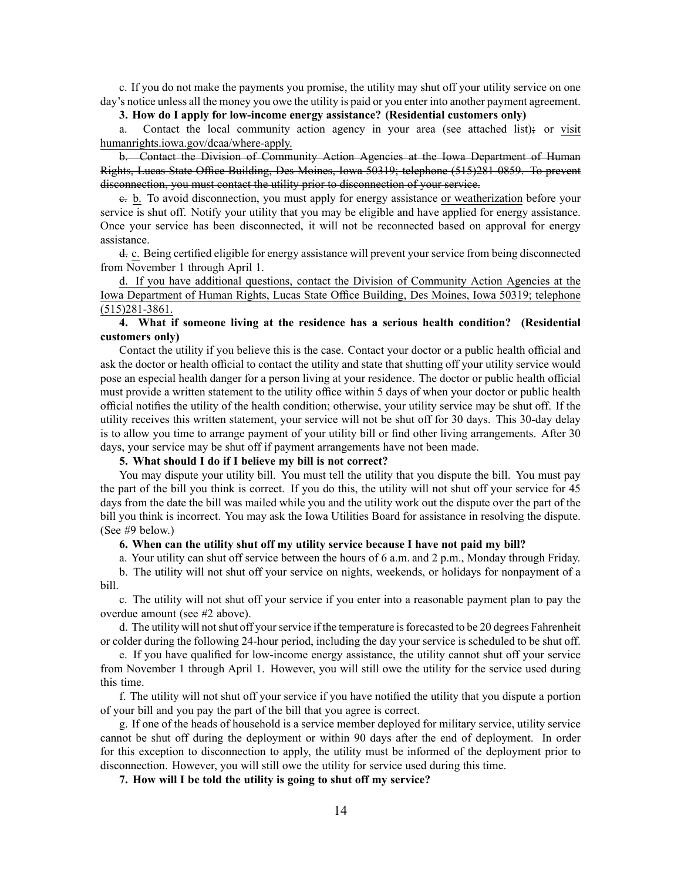c. If you do not make the payments you promise, the utility may shut off your utility service on one day's notice unless all the money you owe the utility is paid or you enter into another paymen<sup>t</sup> agreement.

# **3. How do I apply for low-income energy assistance? (Residential customers only)**

a. Contact the local community action agency in your area (see attached list); or visit humanrights.iowa.gov/dcaa/where-apply.

b. Contact the Division of Community Action Agencies at the Iowa Department of Human Rights, Lucas State Office Building, Des Moines, Iowa 50319; telephone (515)281-0859. To preven<sup>t</sup> disconnection, you must contact the utility prior to disconnection of your service.

c. b. To avoid disconnection, you must apply for energy assistance or weatherization before your service is shut off. Notify your utility that you may be eligible and have applied for energy assistance. Once your service has been disconnected, it will not be reconnected based on approval for energy assistance.

d. c. Being certified eligible for energy assistance will preven<sup>t</sup> your service from being disconnected from November 1 through April 1.

d. If you have additional questions, contact the Division of Community Action Agencies at the Iowa Department of Human Rights, Lucas State Office Building, Des Moines, Iowa 50319; telephone (515)281-3861.

# **4. What if someone living at the residence has <sup>a</sup> serious health condition? (Residential customers only)**

Contact the utility if you believe this is the case. Contact your doctor or <sup>a</sup> public health official and ask the doctor or health official to contact the utility and state that shutting off your utility service would pose an especial health danger for <sup>a</sup> person living at your residence. The doctor or public health official must provide <sup>a</sup> written statement to the utility office within 5 days of when your doctor or public health official notifies the utility of the health condition; otherwise, your utility service may be shut off. If the utility receives this written statement, your service will not be shut off for 30 days. This 30-day delay is to allow you time to arrange paymen<sup>t</sup> of your utility bill or find other living arrangements. After 30 days, your service may be shut off if paymen<sup>t</sup> arrangements have not been made.

## **5. What should I do if I believe my bill is not correct?**

You may dispute your utility bill. You must tell the utility that you dispute the bill. You must pay the par<sup>t</sup> of the bill you think is correct. If you do this, the utility will not shut off your service for 45 days from the date the bill was mailed while you and the utility work out the dispute over the par<sup>t</sup> of the bill you think is incorrect. You may ask the Iowa Utilities Board for assistance in resolving the dispute. (See #9 below.)

# **6. When can the utility shut off my utility service because I have not paid my bill?**

a. Your utility can shut off service between the hours of 6 a.m. and 2 p.m., Monday through Friday.

b. The utility will not shut off your service on nights, weekends, or holidays for nonpaymen<sup>t</sup> of <sup>a</sup> bill.

c. The utility will not shut off your service if you enter into <sup>a</sup> reasonable paymen<sup>t</sup> plan to pay the overdue amount (see #2 above).

d. The utility will notshut off yourservice if the temperature isforecasted to be 20 degrees Fahrenheit or colder during the following 24-hour period, including the day your service is scheduled to be shut off.

e. If you have qualified for low-income energy assistance, the utility cannot shut off your service from November 1 through April 1. However, you will still owe the utility for the service used during this time.

f. The utility will not shut off your service if you have notified the utility that you dispute <sup>a</sup> portion of your bill and you pay the par<sup>t</sup> of the bill that you agree is correct.

g. If one of the heads of household is <sup>a</sup> service member deployed for military service, utility service cannot be shut off during the deployment or within 90 days after the end of deployment. In order for this exception to disconnection to apply, the utility must be informed of the deployment prior to disconnection. However, you will still owe the utility for service used during this time.

**7. How will I be told the utility is going to shut off my service?**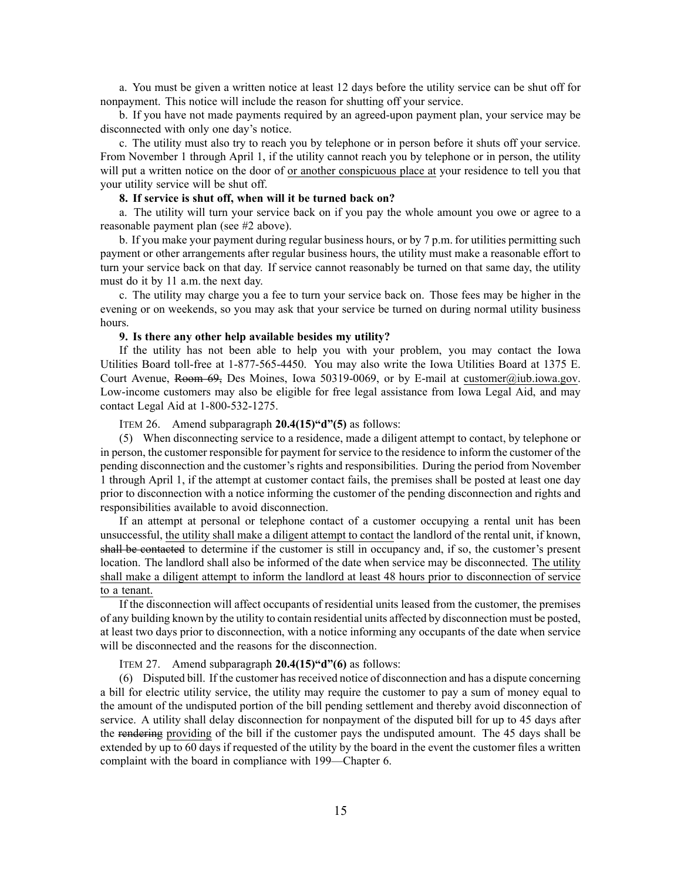a. You must be given <sup>a</sup> written notice at least 12 days before the utility service can be shut off for nonpayment. This notice will include the reason for shutting off your service.

b. If you have not made payments required by an agreed-upon paymen<sup>t</sup> plan, your service may be disconnected with only one day's notice.

c. The utility must also try to reach you by telephone or in person before it shuts off your service. From November 1 through April 1, if the utility cannot reach you by telephone or in person, the utility will pu<sup>t</sup> <sup>a</sup> written notice on the door of or another conspicuous place at your residence to tell you that your utility service will be shut off.

# **8. If service is shut off, when will it be turned back on?**

a. The utility will turn your service back on if you pay the whole amount you owe or agree to <sup>a</sup> reasonable paymen<sup>t</sup> plan (see #2 above).

b. If you make your paymen<sup>t</sup> during regular business hours, or by 7 p.m. for utilities permitting such paymen<sup>t</sup> or other arrangements after regular business hours, the utility must make <sup>a</sup> reasonable effort to turn your service back on that day. If service cannot reasonably be turned on that same day, the utility must do it by 11 a.m. the next day.

c. The utility may charge you <sup>a</sup> fee to turn your service back on. Those fees may be higher in the evening or on weekends, so you may ask that your service be turned on during normal utility business hours.

# **9. Is there any other help available besides my utility?**

If the utility has not been able to help you with your problem, you may contact the Iowa Utilities Board toll-free at 1-877-565-4450. You may also write the Iowa Utilities Board at 1375 E. Court Avenue, Room 69, Des Moines, Iowa 50319-0069, or by E-mail at [customer@iub.iowa.gov](mailto:customer@iub.iowa.gov). Low-income customers may also be eligible for free legal assistance from Iowa Legal Aid, and may contact Legal Aid at 1-800-532-1275.

ITEM 26. Amend subparagraph **20.4(15)"d"(5)** as follows:

(5) When disconnecting service to <sup>a</sup> residence, made <sup>a</sup> diligent attempt to contact, by telephone or in person, the customer responsible for paymen<sup>t</sup> for service to the residence to inform the customer of the pending disconnection and the customer's rights and responsibilities. During the period from November 1 through April 1, if the attempt at customer contact fails, the premises shall be posted at least one day prior to disconnection with <sup>a</sup> notice informing the customer of the pending disconnection and rights and responsibilities available to avoid disconnection.

If an attempt at personal or telephone contact of <sup>a</sup> customer occupying <sup>a</sup> rental unit has been unsuccessful, the utility shall make <sup>a</sup> diligent attempt to contact the landlord of the rental unit, if known, shall be contacted to determine if the customer is still in occupancy and, if so, the customer's presen<sup>t</sup> location. The landlord shall also be informed of the date when service may be disconnected. The utility shall make <sup>a</sup> diligent attempt to inform the landlord at least 48 hours prior to disconnection of service to a tenant.

If the disconnection will affect occupants of residential units leased from the customer, the premises of any building known by the utility to contain residential units affected by disconnection must be posted, at least two days prior to disconnection, with <sup>a</sup> notice informing any occupants of the date when service will be disconnected and the reasons for the disconnection.

ITEM 27. Amend subparagraph **20.4(15)"d"(6)** as follows:

(6) Disputed bill. If the customer hasreceived notice of disconnection and has <sup>a</sup> dispute concerning <sup>a</sup> bill for electric utility service, the utility may require the customer to pay <sup>a</sup> sum of money equal to the amount of the undisputed portion of the bill pending settlement and thereby avoid disconnection of service. A utility shall delay disconnection for nonpaymen<sup>t</sup> of the disputed bill for up to 45 days after the rendering providing of the bill if the customer pays the undisputed amount. The 45 days shall be extended by up to 60 days if requested of the utility by the board in the event the customer files <sup>a</sup> written complaint with the board in compliance with [199—Chapter](https://www.legis.iowa.gov/docs/iac/chapter/199.6.pdf) 6.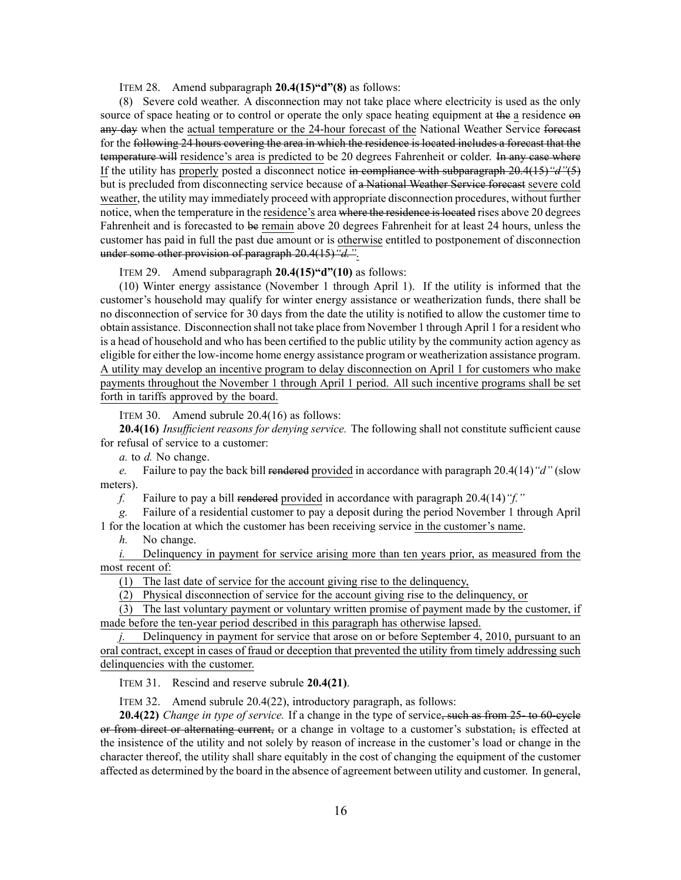ITEM 28. Amend subparagraph **20.4(15)"d"(8)** as follows:

(8) Severe cold weather. A disconnection may not take place where electricity is used as the only source of space heating or to control or operate the only space heating equipment at the a residence on any day when the actual temperature or the 24-hour forecast of the National Weather Service forecast for the following 24 hours covering the area in which the residence is located includes <sup>a</sup> forecast that the temperature will residence's area is predicted to be 20 degrees Fahrenheit or colder. In any case where If the utility has properly posted <sup>a</sup> disconnect notice in compliance with subparagraph [20.4\(15\)](https://www.legis.iowa.gov/docs/iac/rule/199.20.4.pdf)*"d"*(5) but is precluded from disconnecting service because of <sup>a</sup> National Weather Service forecast severe cold weather, the utility may immediately proceed with appropriate disconnection procedures, without further notice, when the temperature in the residence's area where the residence is located rises above 20 degrees Fahrenheit and is forecasted to be remain above 20 degrees Fahrenheit for at least 24 hours, unless the customer has paid in full the pas<sup>t</sup> due amount or is otherwise entitled to postponement of disconnection under some other provision of paragraph [20.4\(15\)](https://www.legis.iowa.gov/docs/iac/rule/199.20.4.pdf)*"d."*.

# ITEM 29. Amend subparagraph **20.4(15)"d"(10)** as follows:

(10) Winter energy assistance (November 1 through April 1). If the utility is informed that the customer's household may qualify for winter energy assistance or weatherization funds, there shall be no disconnection of service for 30 days from the date the utility is notified to allow the customer time to obtain assistance. Disconnection shall not take place from November 1 through April 1 for <sup>a</sup> resident who is <sup>a</sup> head of household and who has been certified to the public utility by the community action agency as eligible for either the low-income home energy assistance program or weatherization assistance program. A utility may develop an incentive program to delay disconnection on April 1 for customers who make payments throughout the November 1 through April 1 period. All such incentive programs shall be set forth in tariffs approved by the board.

ITEM 30. Amend subrule 20.4(16) as follows:

**20.4(16)** *Insufficient reasons for denying service.* The following shall not constitute sufficient cause for refusal of service to <sup>a</sup> customer:

*a.* to *d.* No change.

*e.* Failure to pay the back bill rendered provided in accordance with paragraph [20.4\(14\)](https://www.legis.iowa.gov/docs/iac/rule/199.20.4.pdf)*"d"* (slow meters).

*f.* Failure to pay <sup>a</sup> bill rendered provided in accordance with paragraph [20.4\(14\)](https://www.legis.iowa.gov/docs/iac/rule/199.20.4.pdf)*"f."*

*g.* Failure of <sup>a</sup> residential customer to pay <sup>a</sup> deposit during the period November 1 through April 1 for the location at which the customer has been receiving service in the customer's name.

*h.* No change.

*i.* Delinquency in payment for service arising more than ten years prior, as measured from the most recent of:

(1) The last date of service for the account giving rise to the delinquency,

(2) Physical disconnection of service for the account giving rise to the delinquency, or

(3) The last voluntary paymen<sup>t</sup> or voluntary written promise of paymen<sup>t</sup> made by the customer, if made before the ten-year period described in this paragraph has otherwise lapsed.

*j.* Delinquency in paymen<sup>t</sup> for service that arose on or before September 4, 2010, pursuan<sup>t</sup> to an oral contract, excep<sup>t</sup> in cases of fraud or deception that prevented the utility from timely addressing such delinquencies with the customer.

ITEM 31. Rescind and reserve subrule **20.4(21)**.

ITEM 32. Amend subrule 20.4(22), introductory paragraph, as follows:

**20.4(22)** *Change in type of service.* If <sup>a</sup> change in the type of service, such as from 25- to 60-cycle or from direct or alternating current, or a change in voltage to a customer's substation, is effected at the insistence of the utility and not solely by reason of increase in the customer's load or change in the character thereof, the utility shall share equitably in the cost of changing the equipment of the customer affected as determined by the board in the absence of agreemen<sup>t</sup> between utility and customer. In general,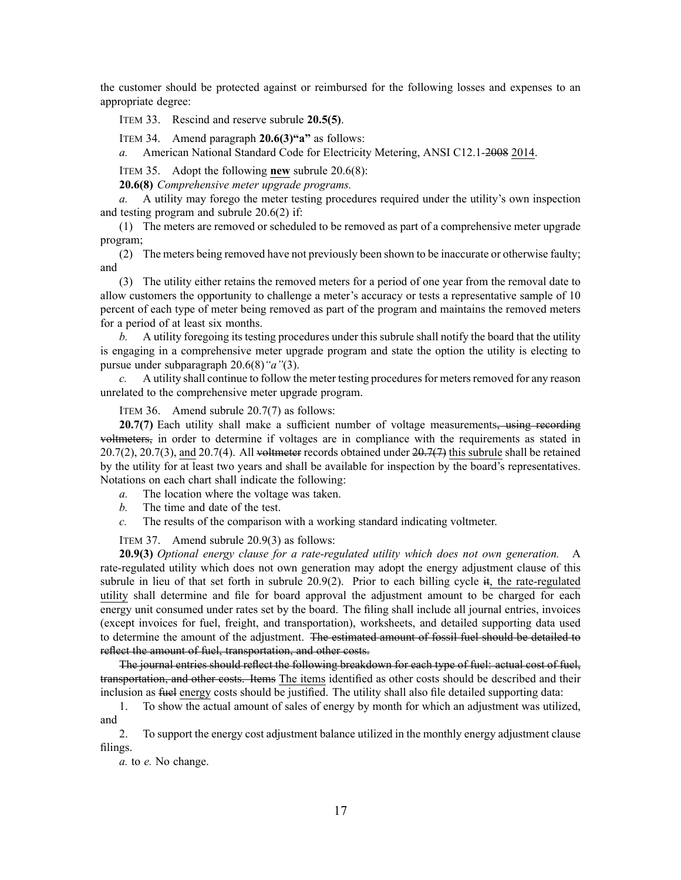the customer should be protected against or reimbursed for the following losses and expenses to an appropriate degree:

ITEM 33. Rescind and reserve subrule **20.5(5)**.

ITEM 34. Amend paragraph **20.6(3)"a"** as follows:

*a.* American National Standard Code for Electricity Metering, ANSI C12.1-2008 2014.

ITEM 35. Adopt the following **new** subrule 20.6(8):

**20.6(8)** *Comprehensive meter upgrade programs.*

*a.* A utility may forego the meter testing procedures required under the utility's own inspection and testing program and subrule [20.6\(2\)](https://www.legis.iowa.gov/docs/iac/rule/199.20.6.pdf) if:

(1) The meters are removed or scheduled to be removed as par<sup>t</sup> of <sup>a</sup> comprehensive meter upgrade program;

(2) The meters being removed have not previously been shown to be inaccurate or otherwise faulty; and

(3) The utility either retains the removed meters for <sup>a</sup> period of one year from the removal date to allow customers the opportunity to challenge <sup>a</sup> meter's accuracy or tests <sup>a</sup> representative sample of 10 percen<sup>t</sup> of each type of meter being removed as par<sup>t</sup> of the program and maintains the removed meters for <sup>a</sup> period of at least six months.

*b.* A utility foregoing its testing procedures under this subrule shall notify the board that the utility is engaging in <sup>a</sup> comprehensive meter upgrade program and state the option the utility is electing to pursue under [subparagraph](https://www.legis.iowa.gov/docs/iac/rule/199.20.6.pdf) 20.6(8)*"a"*(3).

*c.* A utility shall continue to follow the meter testing procedures for meters removed for any reason unrelated to the comprehensive meter upgrade program.

ITEM 36. Amend subrule 20.7(7) as follows:

**20.7(7)** Each utility shall make a sufficient number of voltage measurements, using recording voltmeters, in order to determine if voltages are in compliance with the requirements as stated in  $20.7(2)$ ,  $20.7(3)$ , and  $20.7(4)$ . All voltmeter records obtained under  $20.7(7)$  this subrule shall be retained by the utility for at least two years and shall be available for inspection by the board's representatives. Notations on each chart shall indicate the following:

*a.* The location where the voltage was taken.

- *b.* The time and date of the test.
- *c.* The results of the comparison with <sup>a</sup> working standard indicating voltmeter.

ITEM 37. Amend subrule 20.9(3) as follows:

**20.9(3)** *Optional energy clause for <sup>a</sup> rate-regulated utility which does not own generation.* A rate-regulated utility which does not own generation may adopt the energy adjustment clause of this subrule in lieu of that set forth in subrule [20.9\(2\)](https://www.legis.iowa.gov/docs/iac/rule/199.20.9.pdf). Prior to each billing cycle it, the rate-regulated utility shall determine and file for board approval the adjustment amount to be charged for each energy unit consumed under rates set by the board. The filing shall include all journal entries, invoices (except invoices for fuel, freight, and transportation), worksheets, and detailed supporting data used to determine the amount of the adjustment. The estimated amount of fossil fuel should be detailed to reflect the amount of fuel, transportation, and other costs.

The journal entries should reflect the following breakdown for each type of fuel: actual cost of fuel, transportation, and other costs. Items The items identified as other costs should be described and their inclusion as fuel energy costs should be justified. The utility shall also file detailed supporting data:

1. To show the actual amount of sales of energy by month for which an adjustment was utilized, and

2. To suppor<sup>t</sup> the energy cost adjustment balance utilized in the monthly energy adjustment clause filings.

*a.* to *e.* No change.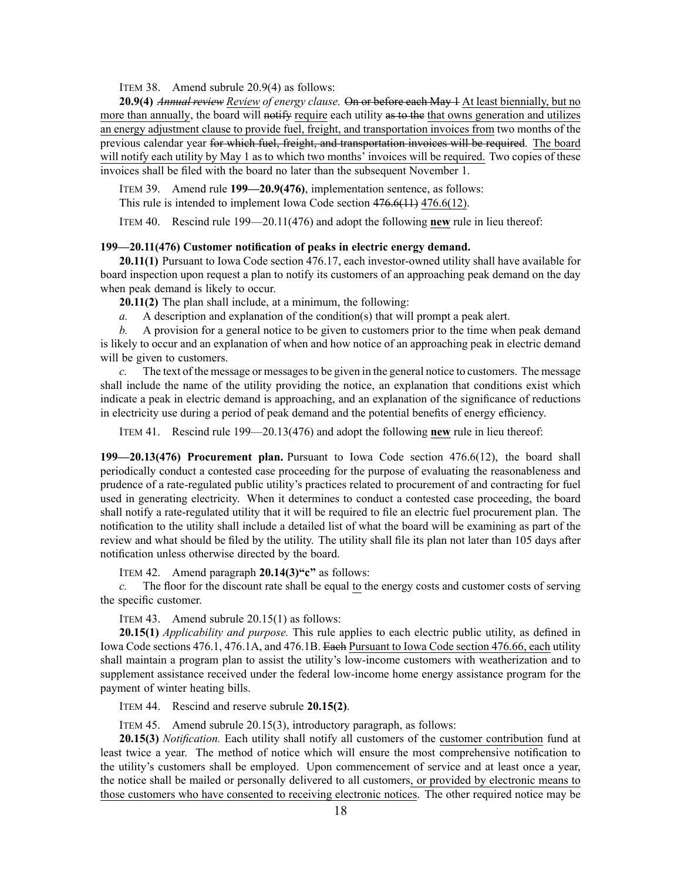ITEM 38. Amend subrule 20.9(4) as follows:

**20.9(4)** *Annual review Review of energy clause.* On or before each May 1 At least biennially, but no more than annually, the board will notify require each utility as to the that owns generation and utilizes an energy adjustment clause to provide fuel, freight, and transportation invoices from two months of the previous calendar year for which fuel, freight, and transportation invoices will be required. The board will notify each utility by May 1 as to which two months' invoices will be required. Two copies of these invoices shall be filed with the board no later than the subsequent November 1.

ITEM 39. Amend rule **199—20.9(476)**, implementation sentence, as follows:

This rule is intended to implement Iowa Code section [476.6\(11\)](https://www.legis.iowa.gov/docs/ico/section/2018/476.6.pdf) [476.6\(12\)](https://www.legis.iowa.gov/docs/ico/section/2018/476.6.pdf).

ITEM 40. Rescind rule 199—20.11(476) and adopt the following **new** rule in lieu thereof:

# **199—20.11(476) Customer notification of peaks in electric energy demand.**

**20.11(1)** Pursuant to Iowa Code section 476.17, each investor-owned utility shall have available for board inspection upon reques<sup>t</sup> <sup>a</sup> plan to notify its customers of an approaching peak demand on the day when peak demand is likely to occur.

**20.11(2)** The plan shall include, at <sup>a</sup> minimum, the following:

*a.* A description and explanation of the condition(s) that will promp<sup>t</sup> <sup>a</sup> peak alert.

*b.* A provision for <sup>a</sup> general notice to be given to customers prior to the time when peak demand is likely to occur and an explanation of when and how notice of an approaching peak in electric demand will be given to customers.

*c.* The text of the message or messages to be given in the general notice to customers. The message shall include the name of the utility providing the notice, an explanation that conditions exist which indicate <sup>a</sup> peak in electric demand is approaching, and an explanation of the significance of reductions in electricity use during <sup>a</sup> period of peak demand and the potential benefits of energy efficiency.

ITEM 41. Rescind rule 199—20.13(476) and adopt the following **new** rule in lieu thereof:

**199—20.13(476) Procurement plan.** Pursuant to Iowa Code section 476.6(12), the board shall periodically conduct <sup>a</sup> contested case proceeding for the purpose of evaluating the reasonableness and prudence of <sup>a</sup> rate-regulated public utility's practices related to procuremen<sup>t</sup> of and contracting for fuel used in generating electricity. When it determines to conduct <sup>a</sup> contested case proceeding, the board shall notify <sup>a</sup> rate-regulated utility that it will be required to file an electric fuel procuremen<sup>t</sup> plan. The notification to the utility shall include <sup>a</sup> detailed list of what the board will be examining as par<sup>t</sup> of the review and what should be filed by the utility. The utility shall file its plan not later than 105 days after notification unless otherwise directed by the board.

ITEM 42. Amend paragraph **20.14(3)"c"** as follows:

*c.* The floor for the discount rate shall be equal to the energy costs and customer costs of serving the specific customer.

ITEM 43. Amend subrule 20.15(1) as follows:

**20.15(1)** *Applicability and purpose.* This rule applies to each electric public utility, as defined in Iowa Code sections [476.1](https://www.legis.iowa.gov/docs/ico/section/2018/476.1.pdf), [476.1A](https://www.legis.iowa.gov/docs/ico/section/2018/476.1A.pdf), and [476.1B](https://www.legis.iowa.gov/docs/ico/section/2018/476.1B.pdf). Each Pursuant to Iowa Code section [476.66](https://www.legis.iowa.gov/docs/ico/section/2018/476.66.pdf), each utility shall maintain <sup>a</sup> program plan to assist the utility's low-income customers with weatherization and to supplement assistance received under the federal low-income home energy assistance program for the paymen<sup>t</sup> of winter heating bills.

ITEM 44. Rescind and reserve subrule **20.15(2)**.

ITEM 45. Amend subrule 20.15(3), introductory paragraph, as follows:

**20.15(3)** *Notification.* Each utility shall notify all customers of the customer contribution fund at least twice <sup>a</sup> year. The method of notice which will ensure the most comprehensive notification to the utility's customers shall be employed. Upon commencement of service and at least once <sup>a</sup> year, the notice shall be mailed or personally delivered to all customers, or provided by electronic means to those customers who have consented to receiving electronic notices. The other required notice may be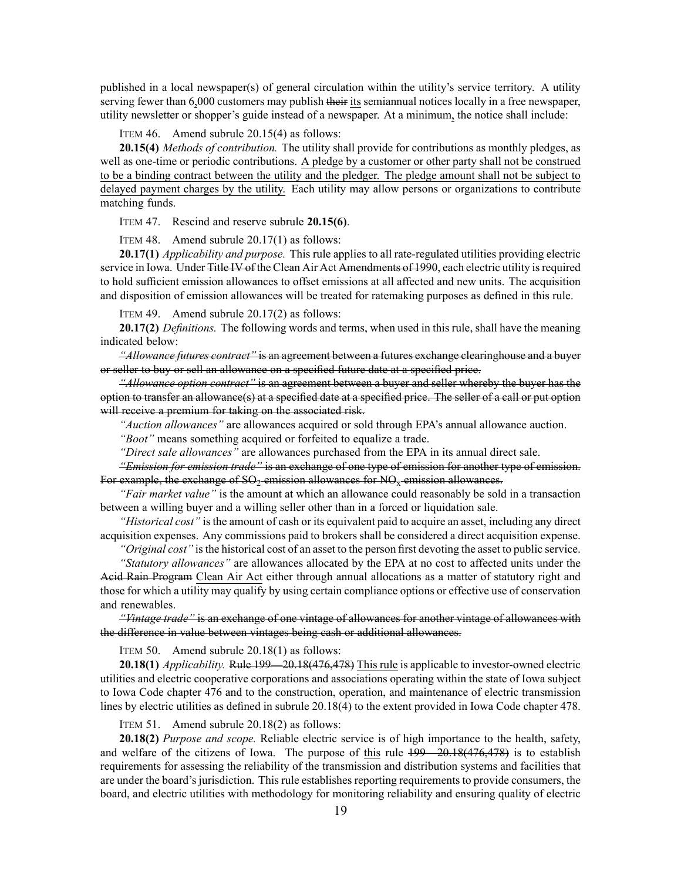published in <sup>a</sup> local newspaper(s) of general circulation within the utility's service territory. A utility serving fewer than 6,000 customers may publish their its semiannual notices locally in a free newspaper, utility newsletter or shopper's guide instead of <sup>a</sup> newspaper. At <sup>a</sup> minimum, the notice shall include:

ITEM 46. Amend subrule 20.15(4) as follows:

**20.15(4)** *Methods of contribution.* The utility shall provide for contributions as monthly pledges, as well as one-time or periodic contributions. A pledge by <sup>a</sup> customer or other party shall not be construed to be <sup>a</sup> binding contract between the utility and the pledger. The pledge amount shall not be subject to delayed paymen<sup>t</sup> charges by the utility. Each utility may allow persons or organizations to contribute matching funds.

ITEM 47. Rescind and reserve subrule **20.15(6)**.

ITEM 48. Amend subrule 20.17(1) as follows:

**20.17(1)** *Applicability and purpose.* This rule applies to all rate-regulated utilities providing electric service in Iowa. Under Title IV of the Clean Air Act Amendments of 1990, each electric utility is required to hold sufficient emission allowances to offset emissions at all affected and new units. The acquisition and disposition of emission allowances will be treated for ratemaking purposes as defined in this rule.

ITEM 49. Amend subrule 20.17(2) as follows:

**20.17(2)** *Definitions.* The following words and terms, when used in this rule, shall have the meaning indicated below:

*"Allowance futures contract"* is an agreemen<sup>t</sup> between <sup>a</sup> futures exchange clearinghouse and <sup>a</sup> buyer or seller to buy or sell an allowance on <sup>a</sup> specified future date at <sup>a</sup> specified price.

*"Allowance option contract"* is an agreemen<sup>t</sup> between <sup>a</sup> buyer and seller whereby the buyer has the option to transfer an allowance(s) at <sup>a</sup> specified date at <sup>a</sup> specified price. The seller of <sup>a</sup> call or pu<sup>t</sup> option will receive a premium for taking on the associated risk.

*"Auction allowances"* are allowances acquired or sold through EPA's annual allowance auction.

*"Boot"* means something acquired or forfeited to equalize <sup>a</sup> trade.

*"Direct sale allowances"* are allowances purchased from the EPA in its annual direct sale.

*"Emission for emission trade"* is an exchange of one type of emission for another type of emission. For example, the exchange of  $SO_2$  emission allowances for  $NO_x$  emission allowances.

*"Fair market value"* is the amount at which an allowance could reasonably be sold in <sup>a</sup> transaction between <sup>a</sup> willing buyer and <sup>a</sup> willing seller other than in <sup>a</sup> forced or liquidation sale.

*"Historical cost"* is the amount of cash or its equivalent paid to acquire an asset, including any direct acquisition expenses. Any commissions paid to brokers shall be considered <sup>a</sup> direct acquisition expense.

*"Original cost"* isthe historical cost of an asset to the person first devoting the asset to public service.

*"Statutory allowances"* are allowances allocated by the EPA at no cost to affected units under the Acid Rain Program Clean Air Act either through annual allocations as <sup>a</sup> matter of statutory right and those for which <sup>a</sup> utility may qualify by using certain compliance options or effective use of conservation and renewables.

*"Vintage trade"* is an exchange of one vintage of allowances for another vintage of allowances with the difference in value between vintages being cash or additional allowances.

ITEM 50. Amend subrule 20.18(1) as follows:

**20.18(1)** *Applicability.* Rule [199—20.18](https://www.legis.iowa.gov/docs/iac/rule/199.20.18.pdf)(476,478) This rule is applicable to investor-owned electric utilities and electric cooperative corporations and associations operating within the state of Iowa subject to Iowa Code chapter [476](https://www.legis.iowa.gov/docs/ico/chapter/476.pdf) and to the construction, operation, and maintenance of electric transmission lines by electric utilities as defined in subrule [20.18\(4\)](https://www.legis.iowa.gov/docs/iac/rule/199.20.18.pdf) to the extent provided in Iowa Code chapter [478](https://www.legis.iowa.gov/docs/ico/chapter/478.pdf).

ITEM 51. Amend subrule 20.18(2) as follows:

**20.18(2)** *Purpose and scope.* Reliable electric service is of high importance to the health, safety, and welfare of the citizens of Iowa. The purpose of this rule [199—20.18](https://www.legis.iowa.gov/docs/iac/rule/199.20.18.pdf)(476,478) is to establish requirements for assessing the reliability of the transmission and distribution systems and facilities that are under the board's jurisdiction. This rule establishes reporting requirements to provide consumers, the board, and electric utilities with methodology for monitoring reliability and ensuring quality of electric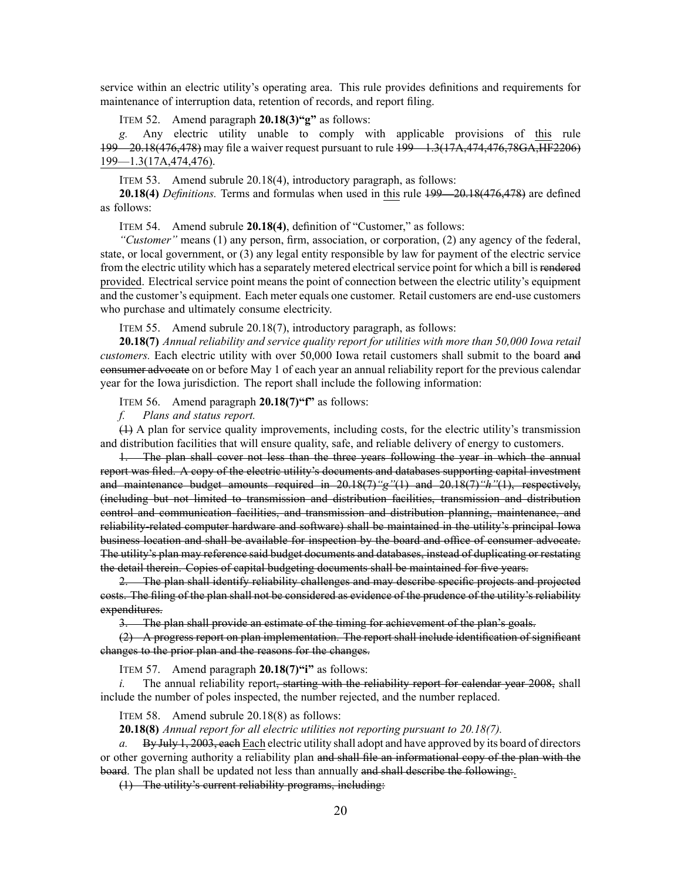service within an electric utility's operating area. This rule provides definitions and requirements for maintenance of interruption data, retention of records, and repor<sup>t</sup> filing.

ITEM 52. Amend paragraph **20.18(3)"g"** as follows:

*g.* Any electric utility unable to comply with applicable provisions of this rule [199—20.18](https://www.legis.iowa.gov/docs/iac/rule/199.20.18.pdf)(476,478) may file <sup>a</sup> waiver reques<sup>t</sup> pursuan<sup>t</sup> to rule [199—1.3](https://www.legis.iowa.gov/docs/iac/rule/199.1.3.pdf)(17A,474,476,78GA,HF2206) [199—1.3\(](https://www.legis.iowa.gov/docs/iac/rule/199.1.3.pdf)17A,474,476).

ITEM 53. Amend subrule 20.18(4), introductory paragraph, as follows:

**20.18(4)** *Definitions.* Terms and formulas when used in this rule [199—20.18](https://www.legis.iowa.gov/docs/iac/rule/199.20.18.pdf)(476,478) are defined as follows:

ITEM 54. Amend subrule **20.18(4)**, definition of "Customer," as follows:

*"Customer"* means (1) any person, firm, association, or corporation, (2) any agency of the federal, state, or local government, or (3) any legal entity responsible by law for paymen<sup>t</sup> of the electric service from the electric utility which has a separately metered electrical service point for which a bill is rendered provided. Electrical service point means the point of connection between the electric utility's equipment and the customer's equipment. Each meter equals one customer. Retail customers are end-use customers who purchase and ultimately consume electricity.

ITEM 55. Amend subrule 20.18(7), introductory paragraph, as follows:

**20.18(7)** *Annual reliability and service quality repor<sup>t</sup> for utilities with more than 50,000 Iowa retail customers.* Each electric utility with over 50,000 Iowa retail customers shall submit to the board and consumer advocate on or before May 1 of each year an annual reliability repor<sup>t</sup> for the previous calendar year for the Iowa jurisdiction. The repor<sup>t</sup> shall include the following information:

ITEM 56. Amend paragraph **20.18(7)"f"** as follows:

*f. Plans and status report.*

(1) A plan for service quality improvements, including costs, for the electric utility's transmission and distribution facilities that will ensure quality, safe, and reliable delivery of energy to customers.

1. The plan shall cover not less than the three years following the year in which the annual repor<sup>t</sup> was filed. A copy of the electric utility's documents and databases supporting capital investment and maintenance budget amounts required in 20.18(7)*"g"*(1) and 20.18(7)*"h"*(1), respectively, (including but not limited to transmission and distribution facilities, transmission and distribution control and communication facilities, and transmission and distribution planning, maintenance, and reliability-related computer hardware and software) shall be maintained in the utility's principal Iowa business location and shall be available for inspection by the board and office of consumer advocate. The utility's plan may reference said budget documents and databases, instead of duplicating or restating the detail therein. Copies of capital budgeting documents shall be maintained for five years.

2. The plan shall identify reliability challenges and may describe specific projects and projected costs. The filing of the plan shall not be considered as evidence of the prudence of the utility's reliability expenditures.

3. The plan shall provide an estimate of the timing for achievement of the plan's goals.

(2) A progress repor<sup>t</sup> on plan implementation. The repor<sup>t</sup> shall include identification of significant changes to the prior plan and the reasons for the changes.

ITEM 57. Amend paragraph **20.18(7)"i"** as follows:

 $i.$  The annual reliability report, starting with the reliability report for calendar year  $2008$ , shall include the number of poles inspected, the number rejected, and the number replaced.

ITEM 58. Amend subrule 20.18(8) as follows:

**20.18(8)** *Annual repor<sup>t</sup> for all electric utilities not reporting pursuan<sup>t</sup> to 20.18(7).*

*a.* By July 1, 2003, each Each electric utility shall adopt and have approved by its board of directors or other governing authority <sup>a</sup> reliability plan and shall file an informational copy of the plan with the board. The plan shall be updated not less than annually and shall describe the following.

(1) The utility's current reliability programs, including: